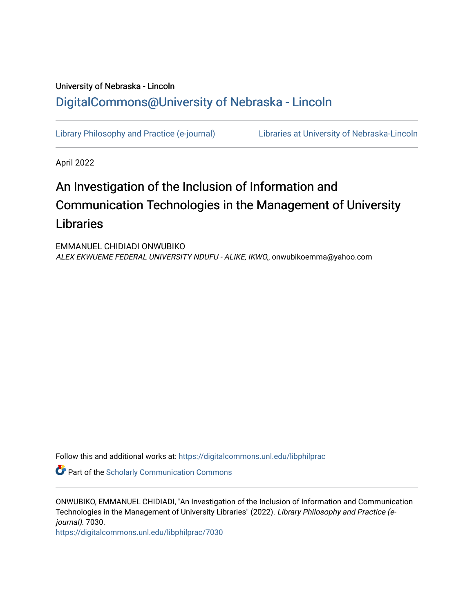# University of Nebraska - Lincoln [DigitalCommons@University of Nebraska - Lincoln](https://digitalcommons.unl.edu/)

[Library Philosophy and Practice \(e-journal\)](https://digitalcommons.unl.edu/libphilprac) [Libraries at University of Nebraska-Lincoln](https://digitalcommons.unl.edu/libraries) 

April 2022

# An Investigation of the Inclusion of Information and Communication Technologies in the Management of University Libraries

EMMANUEL CHIDIADI ONWUBIKO ALEX EKWUEME FEDERAL UNIVERSITY NDUFU - ALIKE, IKWO,, onwubikoemma@yahoo.com

Follow this and additional works at: [https://digitalcommons.unl.edu/libphilprac](https://digitalcommons.unl.edu/libphilprac?utm_source=digitalcommons.unl.edu%2Flibphilprac%2F7030&utm_medium=PDF&utm_campaign=PDFCoverPages) 

**Part of the Scholarly Communication Commons** 

ONWUBIKO, EMMANUEL CHIDIADI, "An Investigation of the Inclusion of Information and Communication Technologies in the Management of University Libraries" (2022). Library Philosophy and Practice (ejournal). 7030.

[https://digitalcommons.unl.edu/libphilprac/7030](https://digitalcommons.unl.edu/libphilprac/7030?utm_source=digitalcommons.unl.edu%2Flibphilprac%2F7030&utm_medium=PDF&utm_campaign=PDFCoverPages)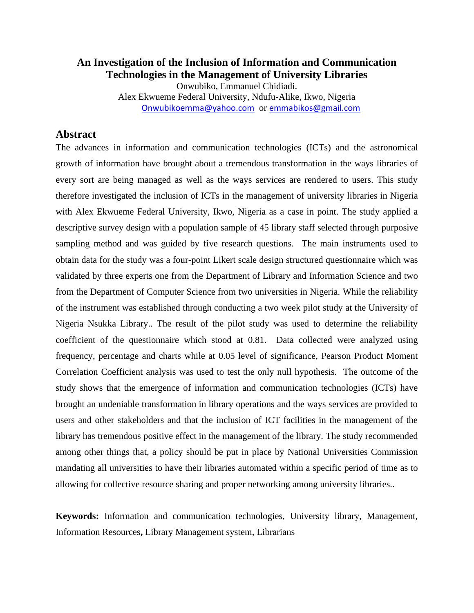### **An Investigation of the Inclusion of Information and Communication Technologies in the Management of University Libraries** Onwubiko, Emmanuel Chidiadi. Alex Ekwueme Federal University, Ndufu-Alike, Ikwo, Nigeria [Onwubikoemma@yahoo.com](mailto:Onwubikoemma@yahoo.com) or [emmabikos@gmail.com](mailto:emmabikos@gmail.com)

## **Abstract**

The advances in information and communication technologies (ICTs) and the astronomical growth of information have brought about a tremendous transformation in the ways libraries of every sort are being managed as well as the ways services are rendered to users. This study therefore investigated the inclusion of ICTs in the management of university libraries in Nigeria with Alex Ekwueme Federal University, Ikwo, Nigeria as a case in point. The study applied a descriptive survey design with a population sample of 45 library staff selected through purposive sampling method and was guided by five research questions. The main instruments used to obtain data for the study was a four-point Likert scale design structured questionnaire which was validated by three experts one from the Department of Library and Information Science and two from the Department of Computer Science from two universities in Nigeria. While the reliability of the instrument was established through conducting a two week pilot study at the University of Nigeria Nsukka Library.. The result of the pilot study was used to determine the reliability coefficient of the questionnaire which stood at 0.81. Data collected were analyzed using frequency, percentage and charts while at 0.05 level of significance, Pearson Product Moment Correlation Coefficient analysis was used to test the only null hypothesis. The outcome of the study shows that the emergence of information and communication technologies (ICTs) have brought an undeniable transformation in library operations and the ways services are provided to users and other stakeholders and that the inclusion of ICT facilities in the management of the library has tremendous positive effect in the management of the library. The study recommended among other things that, a policy should be put in place by National Universities Commission mandating all universities to have their libraries automated within a specific period of time as to allowing for collective resource sharing and proper networking among university libraries..

**Keywords:** Information and communication technologies, University library, Management, Information Resources**,** Library Management system, Librarians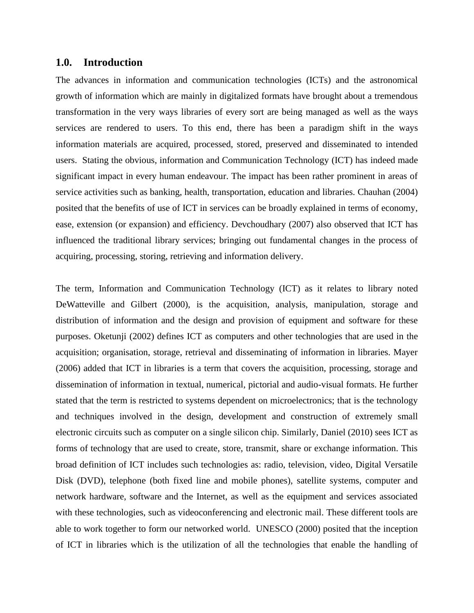#### **1.0. Introduction**

The advances in information and communication technologies (ICTs) and the astronomical growth of information which are mainly in digitalized formats have brought about a tremendous transformation in the very ways libraries of every sort are being managed as well as the ways services are rendered to users. To this end, there has been a paradigm shift in the ways information materials are acquired, processed, stored, preserved and disseminated to intended users. Stating the obvious, information and Communication Technology (ICT) has indeed made significant impact in every human endeavour. The impact has been rather prominent in areas of service activities such as banking, health, transportation, education and libraries. Chauhan (2004) posited that the benefits of use of ICT in services can be broadly explained in terms of economy, ease, extension (or expansion) and efficiency. Devchoudhary (2007) also observed that ICT has influenced the traditional library services; bringing out fundamental changes in the process of acquiring, processing, storing, retrieving and information delivery.

The term, Information and Communication Technology (ICT) as it relates to library noted DeWatteville and Gilbert (2000), is the acquisition, analysis, manipulation, storage and distribution of information and the design and provision of equipment and software for these purposes. Oketunji (2002) defines ICT as computers and other technologies that are used in the acquisition; organisation, storage, retrieval and disseminating of information in libraries. Mayer (2006) added that ICT in libraries is a term that covers the acquisition, processing, storage and dissemination of information in textual, numerical, pictorial and audio-visual formats. He further stated that the term is restricted to systems dependent on microelectronics; that is the technology and techniques involved in the design, development and construction of extremely small electronic circuits such as computer on a single silicon chip. Similarly, Daniel (2010) sees ICT as forms of technology that are used to create, store, transmit, share or exchange information. This broad definition of ICT includes such technologies as: radio, television, video, Digital Versatile Disk (DVD), telephone (both fixed line and mobile phones), satellite systems, computer and network hardware, software and the Internet, as well as the equipment and services associated with these technologies, such as videoconferencing and electronic mail. These different tools are able to work together to form our networked world. UNESCO (2000) posited that the inception of ICT in libraries which is the utilization of all the technologies that enable the handling of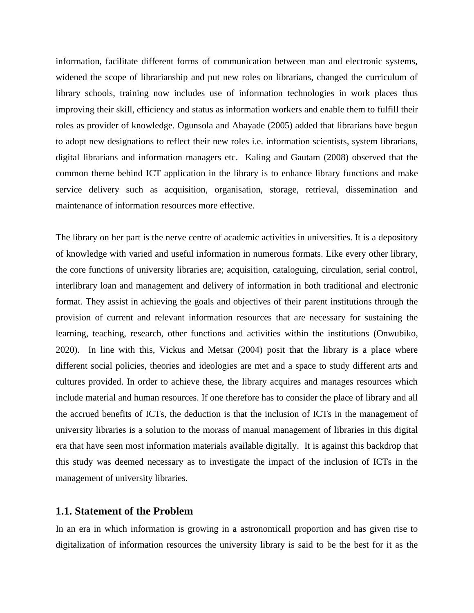information, facilitate different forms of communication between man and electronic systems, widened the scope of librarianship and put new roles on librarians, changed the curriculum of library schools, training now includes use of information technologies in work places thus improving their skill, efficiency and status as information workers and enable them to fulfill their roles as provider of knowledge. Ogunsola and Abayade (2005) added that librarians have begun to adopt new designations to reflect their new roles i.e. information scientists, system librarians, digital librarians and information managers etc. Kaling and Gautam (2008) observed that the common theme behind ICT application in the library is to enhance library functions and make service delivery such as acquisition, organisation, storage, retrieval, dissemination and maintenance of information resources more effective.

The library on her part is the nerve centre of academic activities in universities. It is a depository of knowledge with varied and useful information in numerous formats. Like every other library, the core functions of university libraries are; acquisition, cataloguing, circulation, serial control, interlibrary loan and management and delivery of information in both traditional and electronic format. They assist in achieving the goals and objectives of their parent institutions through the provision of current and relevant information resources that are necessary for sustaining the learning, teaching, research, other functions and activities within the institutions (Onwubiko, 2020). In line with this, Vickus and Metsar (2004) posit that the library is a place where different social policies, theories and ideologies are met and a space to study different arts and cultures provided. In order to achieve these, the library acquires and manages resources which include material and human resources. If one therefore has to consider the place of library and all the accrued benefits of ICTs, the deduction is that the inclusion of ICTs in the management of university libraries is a solution to the morass of manual management of libraries in this digital era that have seen most information materials available digitally. It is against this backdrop that this study was deemed necessary as to investigate the impact of the inclusion of ICTs in the management of university libraries.

#### **1.1. Statement of the Problem**

In an era in which information is growing in a astronomicall proportion and has given rise to digitalization of information resources the university library is said to be the best for it as the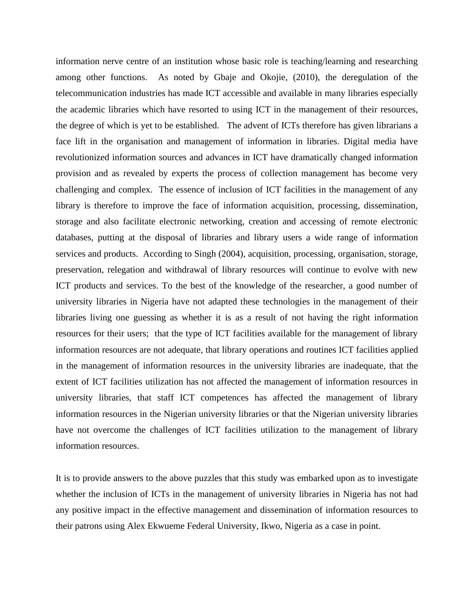information nerve centre of an institution whose basic role is teaching/learning and researching among other functions. As noted by Gbaje and Okojie, (2010), the deregulation of the telecommunication industries has made ICT accessible and available in many libraries especially the academic libraries which have resorted to using ICT in the management of their resources, the degree of which is yet to be established. The advent of ICTs therefore has given librarians a face lift in the organisation and management of information in libraries. Digital media have revolutionized information sources and advances in ICT have dramatically changed information provision and as revealed by experts the process of collection management has become very challenging and complex. The essence of inclusion of ICT facilities in the management of any library is therefore to improve the face of information acquisition, processing, dissemination, storage and also facilitate electronic networking, creation and accessing of remote electronic databases, putting at the disposal of libraries and library users a wide range of information services and products. According to Singh (2004), acquisition, processing, organisation, storage, preservation, relegation and withdrawal of library resources will continue to evolve with new ICT products and services. To the best of the knowledge of the researcher, a good number of university libraries in Nigeria have not adapted these technologies in the management of their libraries living one guessing as whether it is as a result of not having the right information resources for their users; that the type of ICT facilities available for the management of library information resources are not adequate, that library operations and routines ICT facilities applied in the management of information resources in the university libraries are inadequate, that the extent of ICT facilities utilization has not affected the management of information resources in university libraries, that staff ICT competences has affected the management of library information resources in the Nigerian university libraries or that the Nigerian university libraries have not overcome the challenges of ICT facilities utilization to the management of library information resources.

It is to provide answers to the above puzzles that this study was embarked upon as to investigate whether the inclusion of ICTs in the management of university libraries in Nigeria has not had any positive impact in the effective management and dissemination of information resources to their patrons using Alex Ekwueme Federal University, Ikwo, Nigeria as a case in point.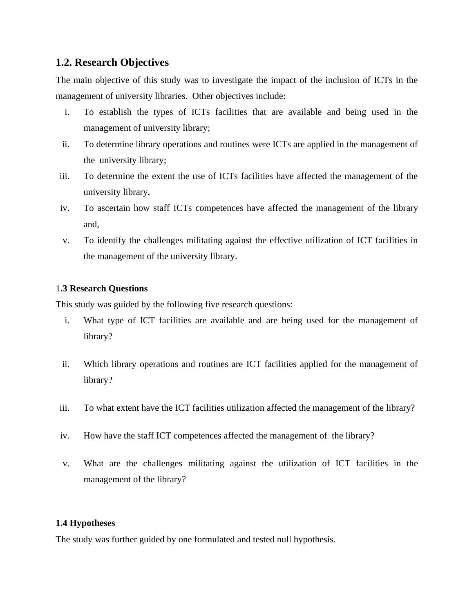## **1.2. Research Objectives**

The main objective of this study was to investigate the impact of the inclusion of ICTs in the management of university libraries. Other objectives include:

- i. To establish the types of ICTs facilities that are available and being used in the management of university library;
- ii. To determine library operations and routines were ICTs are applied in the management of the university library;
- iii. To determine the extent the use of ICTs facilities have affected the management of the university library,
- iv. To ascertain how staff ICTs competences have affected the management of the library and,
- v. To identify the challenges militating against the effective utilization of ICT facilities in the management of the university library.

#### 1**.3 Research Questions**

This study was guided by the following five research questions:

- i. What type of ICT facilities are available and are being used for the management of library?
- ii. Which library operations and routines are ICT facilities applied for the management of library?
- iii. To what extent have the ICT facilities utilization affected the management of the library?
- iv. How have the staff ICT competences affected the management of the library?
- v. What are the challenges militating against the utilization of ICT facilities in the management of the library?

#### **1.4 Hypotheses**

The study was further guided by one formulated and tested null hypothesis.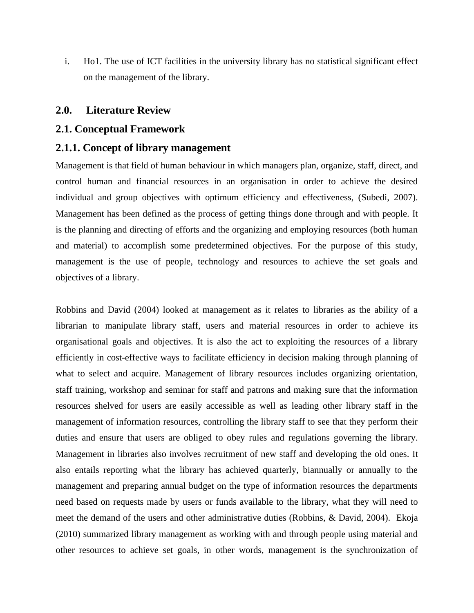i. Ho1. The use of ICT facilities in the university library has no statistical significant effect on the management of the library.

#### **2.0. Literature Review**

#### **2.1. Conceptual Framework**

#### **2.1.1. Concept of library management**

Management is that field of human behaviour in which managers plan, organize, staff, direct, and control human and financial resources in an organisation in order to achieve the desired individual and group objectives with optimum efficiency and effectiveness, (Subedi, 2007). Management has been defined as the process of getting things done through and with people. It is the planning and directing of efforts and the organizing and employing resources (both human and material) to accomplish some predetermined objectives. For the purpose of this study, management is the use of people, technology and resources to achieve the set goals and objectives of a library.

Robbins and David (2004) looked at management as it relates to libraries as the ability of a librarian to manipulate library staff, users and material resources in order to achieve its organisational goals and objectives. It is also the act to exploiting the resources of a library efficiently in cost-effective ways to facilitate efficiency in decision making through planning of what to select and acquire. Management of library resources includes organizing orientation, staff training, workshop and seminar for staff and patrons and making sure that the information resources shelved for users are easily accessible as well as leading other library staff in the management of information resources, controlling the library staff to see that they perform their duties and ensure that users are obliged to obey rules and regulations governing the library. Management in libraries also involves recruitment of new staff and developing the old ones. It also entails reporting what the library has achieved quarterly, biannually or annually to the management and preparing annual budget on the type of information resources the departments need based on requests made by users or funds available to the library, what they will need to meet the demand of the users and other administrative duties (Robbins, & David, 2004). Ekoja (2010) summarized library management as working with and through people using material and other resources to achieve set goals, in other words, management is the synchronization of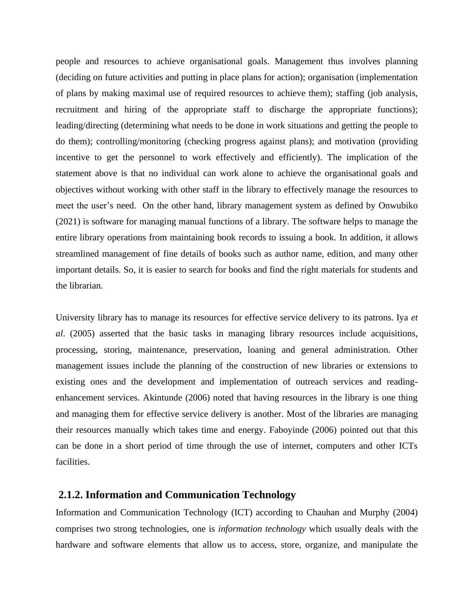people and resources to achieve organisational goals. Management thus involves planning (deciding on future activities and putting in place plans for action); organisation (implementation of plans by making maximal use of required resources to achieve them); staffing (job analysis, recruitment and hiring of the appropriate staff to discharge the appropriate functions); leading/directing (determining what needs to be done in work situations and getting the people to do them); controlling/monitoring (checking progress against plans); and motivation (providing incentive to get the personnel to work effectively and efficiently). The implication of the statement above is that no individual can work alone to achieve the organisational goals and objectives without working with other staff in the library to effectively manage the resources to meet the user's need. On the other hand, library management system as defined by Onwubiko (2021) is software for managing manual functions of a library. The software helps to manage the entire library operations from maintaining book records to issuing a book. In addition, it allows streamlined management of fine details of books such as author name, edition, and many other important details. So, it is easier to search for books and find the right materials for students and the librarian.

University library has to manage its resources for effective service delivery to its patrons. Iya *et al*. (2005) asserted that the basic tasks in managing library resources include acquisitions, processing, storing, maintenance, preservation, loaning and general administration. Other management issues include the planning of the construction of new libraries or extensions to existing ones and the development and implementation of outreach services and readingenhancement services. Akintunde (2006) noted that having resources in the library is one thing and managing them for effective service delivery is another. Most of the libraries are managing their resources manually which takes time and energy. Faboyinde (2006) pointed out that this can be done in a short period of time through the use of internet, computers and other ICTs facilities.

#### **2.1.2. Information and Communication Technology**

Information and Communication Technology (ICT) according to Chauhan and Murphy (2004) comprises two strong technologies, one is *information technology* which usually deals with the hardware and software elements that allow us to access, store, organize, and manipulate the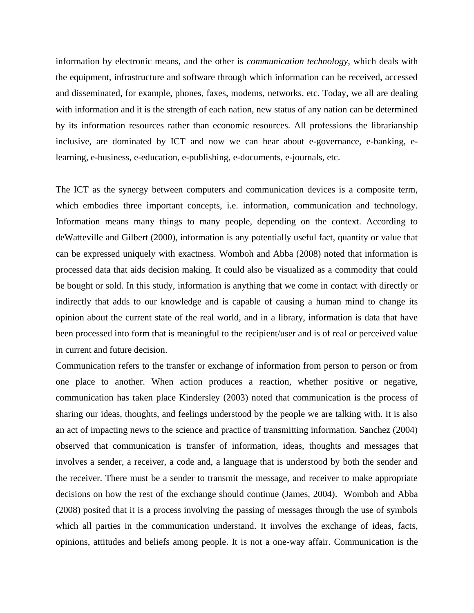information by electronic means, and the other is *communication technology,* which deals with the equipment, infrastructure and software through which information can be received, accessed and disseminated, for example, phones, faxes, modems, networks, etc. Today, we all are dealing with information and it is the strength of each nation, new status of any nation can be determined by its information resources rather than economic resources. All professions the librarianship inclusive, are dominated by ICT and now we can hear about e-governance, e-banking, elearning, e-business, e-education, e-publishing, e-documents, e-journals, etc.

The ICT as the synergy between computers and communication devices is a composite term, which embodies three important concepts, i.e. information, communication and technology. Information means many things to many people, depending on the context. According to deWatteville and Gilbert (2000), information is any potentially useful fact, quantity or value that can be expressed uniquely with exactness. Womboh and Abba (2008) noted that information is processed data that aids decision making. It could also be visualized as a commodity that could be bought or sold. In this study, information is anything that we come in contact with directly or indirectly that adds to our knowledge and is capable of causing a human mind to change its opinion about the current state of the real world, and in a library, information is data that have been processed into form that is meaningful to the recipient/user and is of real or perceived value in current and future decision.

Communication refers to the transfer or exchange of information from person to person or from one place to another. When action produces a reaction, whether positive or negative, communication has taken place Kindersley (2003) noted that communication is the process of sharing our ideas, thoughts, and feelings understood by the people we are talking with. It is also an act of impacting news to the science and practice of transmitting information. Sanchez (2004) observed that communication is transfer of information, ideas, thoughts and messages that involves a sender, a receiver, a code and, a language that is understood by both the sender and the receiver. There must be a sender to transmit the message, and receiver to make appropriate decisions on how the rest of the exchange should continue (James, 2004). Womboh and Abba (2008) posited that it is a process involving the passing of messages through the use of symbols which all parties in the communication understand. It involves the exchange of ideas, facts, opinions, attitudes and beliefs among people. It is not a one-way affair. Communication is the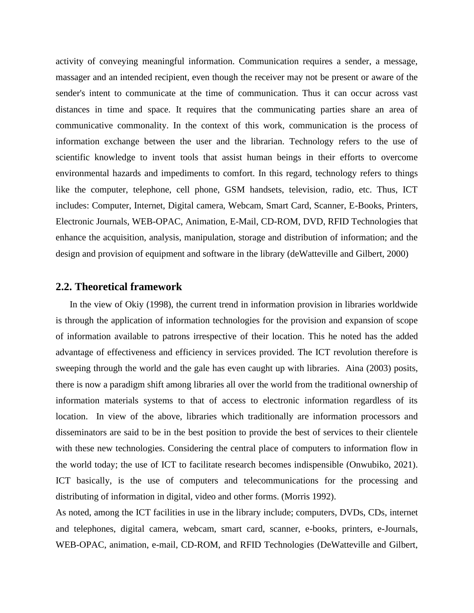activity of conveying meaningful information. Communication requires a sender, a message, massager and an intended recipient, even though the receiver may not be present or aware of the sender's intent to communicate at the time of communication. Thus it can occur across vast distances in time and space. It requires that the communicating parties share an area of communicative commonality. In the context of this work, communication is the process of information exchange between the user and the librarian. Technology refers to the use of scientific knowledge to invent tools that assist human beings in their efforts to overcome environmental hazards and impediments to comfort. In this regard, technology refers to things like the computer, telephone, cell phone, GSM handsets, television, radio, etc. Thus, ICT includes: Computer, Internet, Digital camera, Webcam, Smart Card, Scanner, E-Books, Printers, Electronic Journals, WEB-OPAC, Animation, E-Mail, CD-ROM, DVD, RFID Technologies that enhance the acquisition, analysis, manipulation, storage and distribution of information; and the design and provision of equipment and software in the library (deWatteville and Gilbert, 2000)

#### **2.2. Theoretical framework**

 In the view of Okiy (1998), the current trend in information provision in libraries worldwide is through the application of information technologies for the provision and expansion of scope of information available to patrons irrespective of their location. This he noted has the added advantage of effectiveness and efficiency in services provided. The ICT revolution therefore is sweeping through the world and the gale has even caught up with libraries. Aina (2003) posits, there is now a paradigm shift among libraries all over the world from the traditional ownership of information materials systems to that of access to electronic information regardless of its location. In view of the above, libraries which traditionally are information processors and disseminators are said to be in the best position to provide the best of services to their clientele with these new technologies. Considering the central place of computers to information flow in the world today; the use of ICT to facilitate research becomes indispensible (Onwubiko, 2021). ICT basically, is the use of computers and telecommunications for the processing and distributing of information in digital, video and other forms. (Morris 1992).

As noted, among the ICT facilities in use in the library include; computers, DVDs, CDs, internet and telephones, digital camera, webcam, smart card, scanner, e-books, printers, e-Journals, WEB-OPAC, animation, e-mail, CD-ROM, and RFID Technologies (DeWatteville and Gilbert,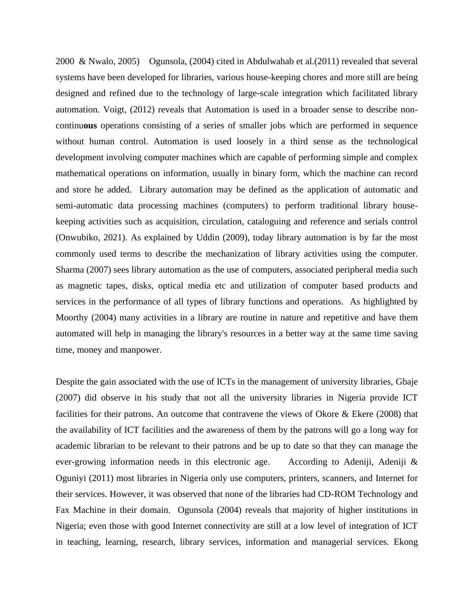2000 & Nwalo, 2005) Ogunsola, (2004) cited in Abdulwahab et al.(2011) revealed that several systems have been developed for libraries, various house-keeping chores and more still are being designed and refined due to the technology of large-scale integration which facilitated library automation. Voigt, (2012) reveals that Automation is used in a broader sense to describe noncontinu**ous** operations consisting of a series of smaller jobs which are performed in sequence without human control. Automation is used loosely in a third sense as the technological development involving computer machines which are capable of performing simple and complex mathematical operations on information, usually in binary form, which the machine can record and store he added. Library automation may be defined as the application of automatic and semi-automatic data processing machines (computers) to perform traditional library housekeeping activities such as acquisition, circulation, cataloguing and reference and serials control (Onwubiko, 2021). As explained by Uddin (2009), today library automation is by far the most commonly used terms to describe the mechanization of library activities using the computer. Sharma (2007) sees library automation as the use of computers, associated peripheral media such as magnetic tapes, disks, optical media etc and utilization of computer based products and services in the performance of all types of library functions and operations. As highlighted by Moorthy (2004) many activities in a library are routine in nature and repetitive and have them automated will help in managing the library's resources in a better way at the same time saving time, money and manpower.

Despite the gain associated with the use of ICTs in the management of university libraries, Gbaje (2007) did observe in his study that not all the university libraries in Nigeria provide ICT facilities for their patrons. An outcome that contravene the views of Okore & Ekere (2008) that the availability of ICT facilities and the awareness of them by the patrons will go a long way for academic librarian to be relevant to their patrons and be up to date so that they can manage the ever-growing information needs in this electronic age. According to Adeniji, Adeniji & Oguniyi (2011) most libraries in Nigeria only use computers, printers, scanners, and Internet for their services. However, it was observed that none of the libraries had CD-ROM Technology and Fax Machine in their domain. Ogunsola (2004) reveals that majority of higher institutions in Nigeria; even those with good Internet connectivity are still at a low level of integration of ICT in teaching, learning, research, library services, information and managerial services. Ekong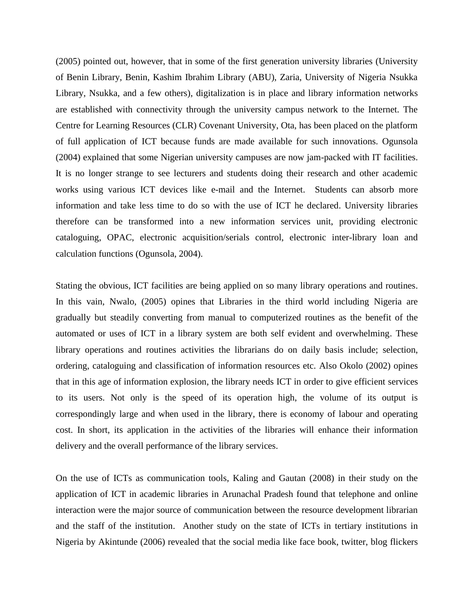(2005) pointed out, however, that in some of the first generation university libraries (University of Benin Library, Benin, Kashim Ibrahim Library (ABU), Zaria, University of Nigeria Nsukka Library, Nsukka, and a few others), digitalization is in place and library information networks are established with connectivity through the university campus network to the Internet. The Centre for Learning Resources (CLR) Covenant University, Ota, has been placed on the platform of full application of ICT because funds are made available for such innovations. Ogunsola (2004) explained that some Nigerian university campuses are now jam-packed with IT facilities. It is no longer strange to see lecturers and students doing their research and other academic works using various ICT devices like e-mail and the Internet. Students can absorb more information and take less time to do so with the use of ICT he declared. University libraries therefore can be transformed into a new information services unit, providing electronic cataloguing, OPAC, electronic acquisition/serials control, electronic inter-library loan and calculation functions (Ogunsola, 2004).

Stating the obvious, ICT facilities are being applied on so many library operations and routines. In this vain, Nwalo, (2005) opines that Libraries in the third world including Nigeria are gradually but steadily converting from manual to computerized routines as the benefit of the automated or uses of ICT in a library system are both self evident and overwhelming. These library operations and routines activities the librarians do on daily basis include; selection, ordering, cataloguing and classification of information resources etc. Also Okolo (2002) opines that in this age of information explosion, the library needs ICT in order to give efficient services to its users. Not only is the speed of its operation high, the volume of its output is correspondingly large and when used in the library, there is economy of labour and operating cost. In short, its application in the activities of the libraries will enhance their information delivery and the overall performance of the library services.

On the use of ICTs as communication tools, Kaling and Gautan (2008) in their study on the application of ICT in academic libraries in Arunachal Pradesh found that telephone and online interaction were the major source of communication between the resource development librarian and the staff of the institution. Another study on the state of ICTs in tertiary institutions in Nigeria by Akintunde (2006) revealed that the social media like face book, twitter, blog flickers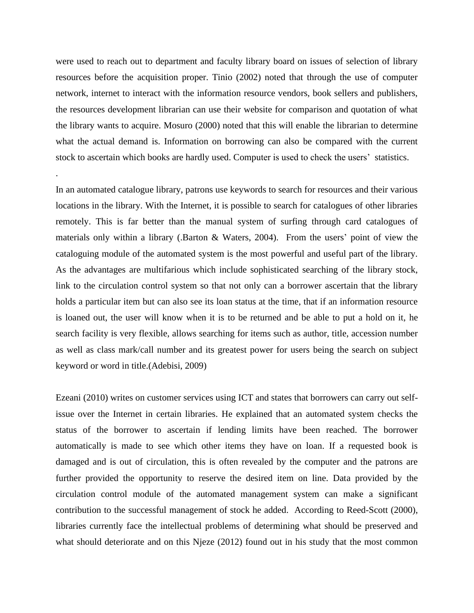were used to reach out to department and faculty library board on issues of selection of library resources before the acquisition proper. Tinio (2002) noted that through the use of computer network, internet to interact with the information resource vendors, book sellers and publishers, the resources development librarian can use their website for comparison and quotation of what the library wants to acquire. Mosuro (2000) noted that this will enable the librarian to determine what the actual demand is. Information on borrowing can also be compared with the current stock to ascertain which books are hardly used. Computer is used to check the users' statistics.

.

In an automated catalogue library, patrons use keywords to search for resources and their various locations in the library. With the Internet, it is possible to search for catalogues of other libraries remotely. This is far better than the manual system of surfing through card catalogues of materials only within a library (.Barton & Waters, 2004). From the users' point of view the cataloguing module of the automated system is the most powerful and useful part of the library. As the advantages are multifarious which include sophisticated searching of the library stock, link to the circulation control system so that not only can a borrower ascertain that the library holds a particular item but can also see its loan status at the time, that if an information resource is loaned out, the user will know when it is to be returned and be able to put a hold on it, he search facility is very flexible, allows searching for items such as author, title, accession number as well as class mark/call number and its greatest power for users being the search on subject keyword or word in title.(Adebisi, 2009)

Ezeani (2010) writes on customer services using ICT and states that borrowers can carry out selfissue over the Internet in certain libraries. He explained that an automated system checks the status of the borrower to ascertain if lending limits have been reached. The borrower automatically is made to see which other items they have on loan. If a requested book is damaged and is out of circulation, this is often revealed by the computer and the patrons are further provided the opportunity to reserve the desired item on line. Data provided by the circulation control module of the automated management system can make a significant contribution to the successful management of stock he added. According to Reed-Scott (2000), libraries currently face the intellectual problems of determining what should be preserved and what should deteriorate and on this Njeze (2012) found out in his study that the most common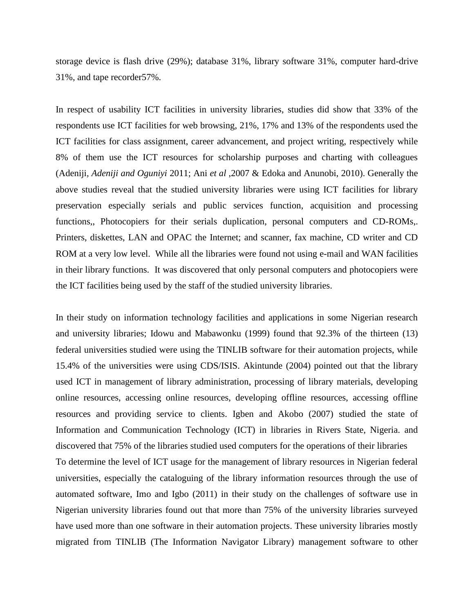storage device is flash drive (29%); database 31%, library software 31%, computer hard-drive 31%, and tape recorder57%.

In respect of usability ICT facilities in university libraries, studies did show that 33% of the respondents use ICT facilities for web browsing, 21%, 17% and 13% of the respondents used the ICT facilities for class assignment, career advancement, and project writing, respectively while 8% of them use the ICT resources for scholarship purposes and charting with colleagues (Adeniji*, Adeniji and Oguniyi* 2011; Ani *et al* ,2007 & Edoka and Anunobi, 2010). Generally the above studies reveal that the studied university libraries were using ICT facilities for library preservation especially serials and public services function, acquisition and processing functions,, Photocopiers for their serials duplication, personal computers and CD-ROMs,. Printers, diskettes, LAN and OPAC the Internet; and scanner, fax machine, CD writer and CD ROM at a very low level. While all the libraries were found not using e-mail and WAN facilities in their library functions. It was discovered that only personal computers and photocopiers were the ICT facilities being used by the staff of the studied university libraries.

In their study on information technology facilities and applications in some Nigerian research and university libraries; Idowu and Mabawonku (1999) found that 92.3% of the thirteen (13) federal universities studied were using the TINLIB software for their automation projects, while 15.4% of the universities were using CDS/ISIS. Akintunde (2004) pointed out that the library used ICT in management of library administration, processing of library materials, developing online resources, accessing online resources, developing offline resources, accessing offline resources and providing service to clients. Igben and Akobo (2007) studied the state of Information and Communication Technology (ICT) in libraries in Rivers State, Nigeria. and discovered that 75% of the libraries studied used computers for the operations of their libraries To determine the level of ICT usage for the management of library resources in Nigerian federal universities, especially the cataloguing of the library information resources through the use of automated software, Imo and Igbo (2011) in their study on the challenges of software use in Nigerian university libraries found out that more than 75% of the university libraries surveyed have used more than one software in their automation projects. These university libraries mostly migrated from TINLIB (The Information Navigator Library) management software to other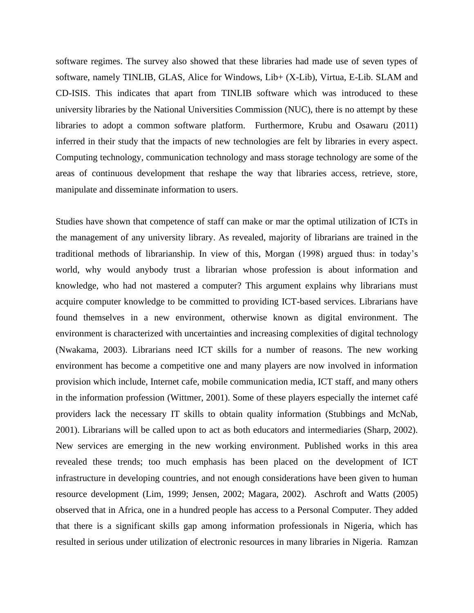software regimes. The survey also showed that these libraries had made use of seven types of software, namely TINLIB, GLAS, Alice for Windows, Lib+ (X-Lib), Virtua, E-Lib. SLAM and CD-ISIS. This indicates that apart from TINLIB software which was introduced to these university libraries by the National Universities Commission (NUC), there is no attempt by these libraries to adopt a common software platform. Furthermore, Krubu and Osawaru (2011) inferred in their study that the impacts of new technologies are felt by libraries in every aspect. Computing technology, communication technology and mass storage technology are some of the areas of continuous development that reshape the way that libraries access, retrieve, store, manipulate and disseminate information to users.

Studies have shown that competence of staff can make or mar the optimal utilization of ICTs in the management of any university library. As revealed, majority of librarians are trained in the traditional methods of librarianship. In view of this, Morgan (1998) argued thus: in today's world, why would anybody trust a librarian whose profession is about information and knowledge, who had not mastered a computer? This argument explains why librarians must acquire computer knowledge to be committed to providing ICT-based services. Librarians have found themselves in a new environment, otherwise known as digital environment. The environment is characterized with uncertainties and increasing complexities of digital technology (Nwakama, 2003). Librarians need ICT skills for a number of reasons. The new working environment has become a competitive one and many players are now involved in information provision which include, Internet cafe, mobile communication media, ICT staff, and many others in the information profession (Wittmer, 2001). Some of these players especially the internet café providers lack the necessary IT skills to obtain quality information (Stubbings and McNab, 2001). Librarians will be called upon to act as both educators and intermediaries (Sharp, 2002). New services are emerging in the new working environment. Published works in this area revealed these trends; too much emphasis has been placed on the development of ICT infrastructure in developing countries, and not enough considerations have been given to human resource development (Lim, 1999; Jensen, 2002; Magara, 2002). Aschroft and Watts (2005) observed that in Africa, one in a hundred people has access to a Personal Computer. They added that there is a significant skills gap among information professionals in Nigeria, which has resulted in serious under utilization of electronic resources in many libraries in Nigeria. Ramzan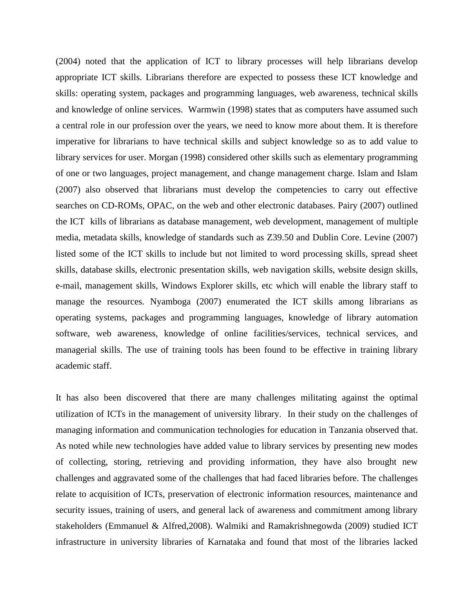(2004) noted that the application of ICT to library processes will help librarians develop appropriate ICT skills. Librarians therefore are expected to possess these ICT knowledge and skills: operating system, packages and programming languages, web awareness, technical skills and knowledge of online services. Warmwin (1998) states that as computers have assumed such a central role in our profession over the years, we need to know more about them. It is therefore imperative for librarians to have technical skills and subject knowledge so as to add value to library services for user. Morgan (1998) considered other skills such as elementary programming of one or two languages, project management, and change management charge. Islam and Islam (2007) also observed that librarians must develop the competencies to carry out effective searches on CD-ROMs, OPAC, on the web and other electronic databases. Pairy (2007) outlined the ICT kills of librarians as database management, web development, management of multiple media, metadata skills, knowledge of standards such as Z39.50 and Dublin Core. Levine (2007) listed some of the ICT skills to include but not limited to word processing skills, spread sheet skills, database skills, electronic presentation skills, web navigation skills, website design skills, e-mail, management skills, Windows Explorer skills, etc which will enable the library staff to manage the resources. Nyamboga (2007) enumerated the ICT skills among librarians as operating systems, packages and programming languages, knowledge of library automation software, web awareness, knowledge of online facilities/services, technical services, and managerial skills. The use of training tools has been found to be effective in training library academic staff.

It has also been discovered that there are many challenges militating against the optimal utilization of ICTs in the management of university library. In their study on the challenges of managing information and communication technologies for education in Tanzania observed that. As noted while new technologies have added value to library services by presenting new modes of collecting, storing, retrieving and providing information, they have also brought new challenges and aggravated some of the challenges that had faced libraries before. The challenges relate to acquisition of ICTs, preservation of electronic information resources, maintenance and security issues, training of users, and general lack of awareness and commitment among library stakeholders (Emmanuel & Alfred,2008). Walmiki and Ramakrishnegowda (2009) studied ICT infrastructure in university libraries of Karnataka and found that most of the libraries lacked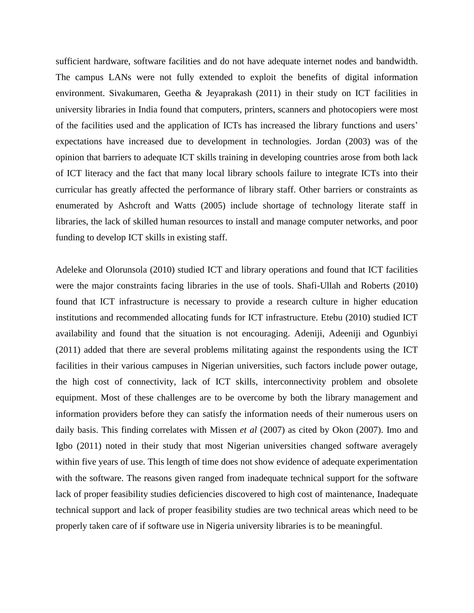sufficient hardware, software facilities and do not have adequate internet nodes and bandwidth. The campus LANs were not fully extended to exploit the benefits of digital information environment. Sivakumaren, Geetha & Jeyaprakash (2011) in their study on ICT facilities in university libraries in India found that computers, printers, scanners and photocopiers were most of the facilities used and the application of ICTs has increased the library functions and users' expectations have increased due to development in technologies. Jordan (2003) was of the opinion that barriers to adequate ICT skills training in developing countries arose from both lack of ICT literacy and the fact that many local library schools failure to integrate ICTs into their curricular has greatly affected the performance of library staff. Other barriers or constraints as enumerated by Ashcroft and Watts (2005) include shortage of technology literate staff in libraries, the lack of skilled human resources to install and manage computer networks, and poor funding to develop ICT skills in existing staff.

Adeleke and Olorunsola (2010) studied ICT and library operations and found that ICT facilities were the major constraints facing libraries in the use of tools. Shafi-Ullah and Roberts (2010) found that ICT infrastructure is necessary to provide a research culture in higher education institutions and recommended allocating funds for ICT infrastructure. Etebu (2010) studied ICT availability and found that the situation is not encouraging. Adeniji, Adeeniji and Ogunbiyi (2011) added that there are several problems militating against the respondents using the ICT facilities in their various campuses in Nigerian universities, such factors include power outage, the high cost of connectivity, lack of ICT skills, interconnectivity problem and obsolete equipment. Most of these challenges are to be overcome by both the library management and information providers before they can satisfy the information needs of their numerous users on daily basis. This finding correlates with Missen *et al* (2007) as cited by Okon (2007). Imo and Igbo (2011) noted in their study that most Nigerian universities changed software averagely within five years of use. This length of time does not show evidence of adequate experimentation with the software. The reasons given ranged from inadequate technical support for the software lack of proper feasibility studies deficiencies discovered to high cost of maintenance, Inadequate technical support and lack of proper feasibility studies are two technical areas which need to be properly taken care of if software use in Nigeria university libraries is to be meaningful.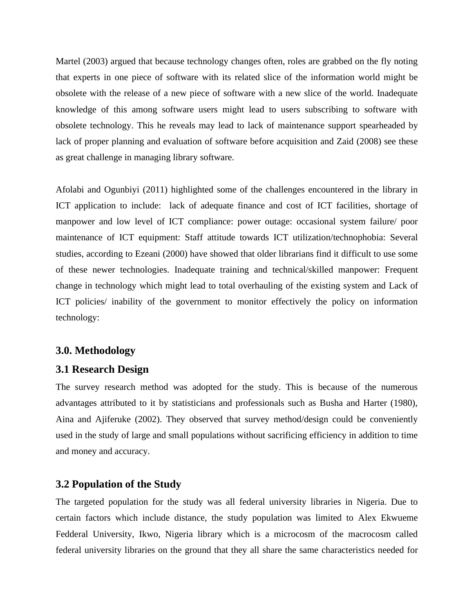Martel (2003) argued that because technology changes often, roles are grabbed on the fly noting that experts in one piece of software with its related slice of the information world might be obsolete with the release of a new piece of software with a new slice of the world. Inadequate knowledge of this among software users might lead to users subscribing to software with obsolete technology. This he reveals may lead to lack of maintenance support spearheaded by lack of proper planning and evaluation of software before acquisition and Zaid (2008) see these as great challenge in managing library software.

Afolabi and Ogunbiyi (2011) highlighted some of the challenges encountered in the library in ICT application to include: lack of adequate finance and cost of ICT facilities, shortage of manpower and low level of ICT compliance: power outage: occasional system failure/ poor maintenance of ICT equipment: Staff attitude towards ICT utilization/technophobia: Several studies, according to Ezeani (2000) have showed that older librarians find it difficult to use some of these newer technologies. Inadequate training and technical/skilled manpower: Frequent change in technology which might lead to total overhauling of the existing system and Lack of ICT policies/ inability of the government to monitor effectively the policy on information technology:

#### **3.0. Methodology**

#### **3.1 Research Design**

The survey research method was adopted for the study. This is because of the numerous advantages attributed to it by statisticians and professionals such as Busha and Harter (1980), Aina and Ajiferuke (2002). They observed that survey method/design could be conveniently used in the study of large and small populations without sacrificing efficiency in addition to time and money and accuracy.

#### **3.2 Population of the Study**

The targeted population for the study was all federal university libraries in Nigeria. Due to certain factors which include distance, the study population was limited to Alex Ekwueme Fedderal University, Ikwo, Nigeria library which is a microcosm of the macrocosm called federal university libraries on the ground that they all share the same characteristics needed for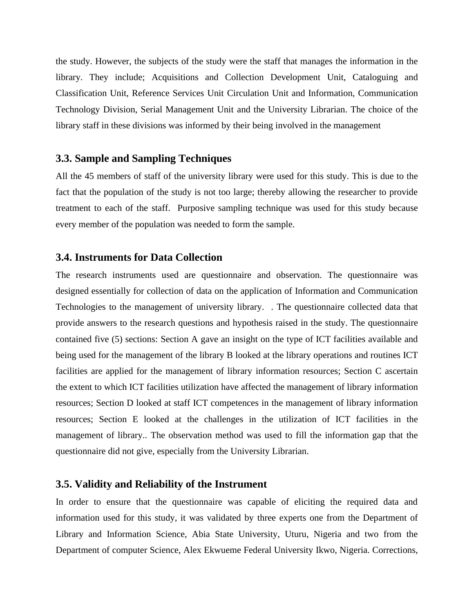the study. However, the subjects of the study were the staff that manages the information in the library. They include; Acquisitions and Collection Development Unit, Cataloguing and Classification Unit, Reference Services Unit Circulation Unit and Information, Communication Technology Division, Serial Management Unit and the University Librarian. The choice of the library staff in these divisions was informed by their being involved in the management

#### **3.3. Sample and Sampling Techniques**

All the 45 members of staff of the university library were used for this study. This is due to the fact that the population of the study is not too large; thereby allowing the researcher to provide treatment to each of the staff. Purposive sampling technique was used for this study because every member of the population was needed to form the sample.

#### **3.4. Instruments for Data Collection**

The research instruments used are questionnaire and observation. The questionnaire was designed essentially for collection of data on the application of Information and Communication Technologies to the management of university library. . The questionnaire collected data that provide answers to the research questions and hypothesis raised in the study. The questionnaire contained five (5) sections: Section A gave an insight on the type of ICT facilities available and being used for the management of the library B looked at the library operations and routines ICT facilities are applied for the management of library information resources; Section C ascertain the extent to which ICT facilities utilization have affected the management of library information resources; Section D looked at staff ICT competences in the management of library information resources; Section E looked at the challenges in the utilization of ICT facilities in the management of library.. The observation method was used to fill the information gap that the questionnaire did not give, especially from the University Librarian.

#### **3.5. Validity and Reliability of the Instrument**

In order to ensure that the questionnaire was capable of eliciting the required data and information used for this study, it was validated by three experts one from the Department of Library and Information Science, Abia State University, Uturu, Nigeria and two from the Department of computer Science, Alex Ekwueme Federal University Ikwo, Nigeria. Corrections,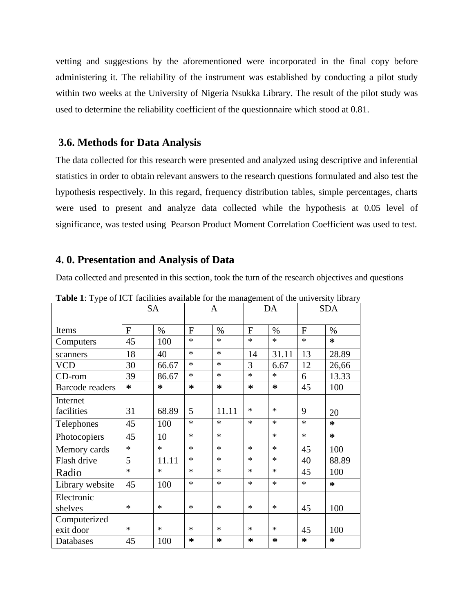vetting and suggestions by the aforementioned were incorporated in the final copy before administering it. The reliability of the instrument was established by conducting a pilot study within two weeks at the University of Nigeria Nsukka Library. The result of the pilot study was used to determine the reliability coefficient of the questionnaire which stood at 0.81.

#### **3.6. Methods for Data Analysis**

The data collected for this research were presented and analyzed using descriptive and inferential statistics in order to obtain relevant answers to the research questions formulated and also test the hypothesis respectively. In this regard, frequency distribution tables, simple percentages, charts were used to present and analyze data collected while the hypothesis at 0.05 level of significance, was tested using Pearson Product Moment Correlation Coefficient was used to test.

#### **4. 0. Presentation and Analysis of Data**

Data collected and presented in this section, took the turn of the research objectives and questions

|                        |        | <b>SA</b> |              | A      |              | DA     |        | <b>SDA</b> |
|------------------------|--------|-----------|--------------|--------|--------------|--------|--------|------------|
| Items                  | F      | $\%$      | $\mathbf{F}$ | $\%$   | $\mathbf{F}$ | $\%$   | F      | $\%$       |
| Computers              | 45     | 100       | $\ast$       | $\ast$ | $\ast$       | $\ast$ | $\ast$ | $\ast$     |
| scanners               | 18     | 40        | $\ast$       | $\ast$ | 14           | 31.11  | 13     | 28.89      |
| <b>VCD</b>             | 30     | 66.67     | $\ast$       | $\ast$ | 3            | 6.67   | 12     | 26,66      |
| $CD$ -rom              | 39     | 86.67     | $\ast$       | $\ast$ | $\ast$       | $\ast$ | 6      | 13.33      |
| <b>Barcode readers</b> | $\ast$ | *         | *            | *      | $\ast$       | *      | 45     | 100        |
| Internet               |        |           |              |        |              |        |        |            |
| facilities             | 31     | 68.89     | 5            | 11.11  | ∗            | ∗      | 9      | 20         |
| Telephones             | 45     | 100       | $\ast$       | $\ast$ | $\ast$       | $\ast$ | $\ast$ | $\ast$     |
| Photocopiers           | 45     | 10        | $\ast$       | $\ast$ |              | $\ast$ | $\ast$ | $\ast$     |
| Memory cards           | $\ast$ | $\ast$    | $\ast$       | $\ast$ | $\ast$       | $\ast$ | 45     | 100        |
| Flash drive            | 5      | 11.11     | $\ast$       | $\ast$ | $\ast$       | $\ast$ | 40     | 88.89      |
| Radio                  | $\ast$ | $\ast$    | $\ast$       | $\ast$ | $\ast$       | $\ast$ | 45     | 100        |
| Library website        | 45     | 100       | $\ast$       | $\ast$ | $\ast$       | $\ast$ | $\ast$ | $\ast$     |
| Electronic             |        |           |              |        |              |        |        |            |
| shelves                | $\ast$ | $\ast$    | $\ast$       | $\ast$ | $\ast$       | $\ast$ | 45     | 100        |
| Computerized           |        |           |              |        |              |        |        |            |
| exit door              | $\ast$ | $\ast$    | $\ast$       | $\ast$ | $\ast$       | $\ast$ | 45     | 100        |
| Databases              | 45     | 100       | ∗            | ∗      | *            | ∗      | $\ast$ | $\ast$     |

**Table 1**: Type of ICT facilities available for the management of the university library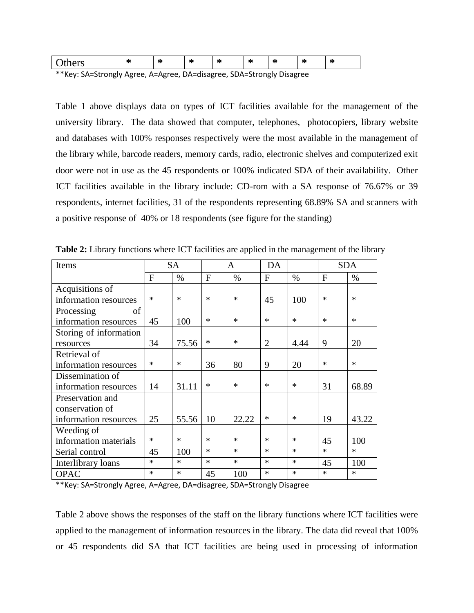|                                                                        | $\sim$<br>m | -74<br>ጣ |  | $\sim$<br>$\mathbf{r}$ | $\sim$ | $\sim$<br>m | $\sim$<br>$\mathbf{r}$ | m |
|------------------------------------------------------------------------|-------------|----------|--|------------------------|--------|-------------|------------------------|---|
| $**v_0$ CA-Ctrongly Agree, $A-Aq$ and $DA-dip_0q$ CDA-Ctrongly Disease |             |          |  |                        |        |             |                        |   |

\*\*Key: SA=Strongly Agree, A=Agree, DA=disagree, SDA=Strongly Disagree

Table 1 above displays data on types of ICT facilities available for the management of the university library. The data showed that computer, telephones, photocopiers, library website and databases with 100% responses respectively were the most available in the management of the library while, barcode readers, memory cards, radio, electronic shelves and computerized exit door were not in use as the 45 respondents or 100% indicated SDA of their availability. Other ICT facilities available in the library include: CD-rom with a SA response of 76.67% or 39 respondents, internet facilities, 31 of the respondents representing 68.89% SA and scanners with a positive response of 40% or 18 respondents (see figure for the standing)

| Items                  |        | <b>SA</b> |              | A      | DA             |        | <b>SDA</b> |        |
|------------------------|--------|-----------|--------------|--------|----------------|--------|------------|--------|
|                        | F      | $\%$      | $\mathbf{F}$ | $\%$   | F              | $\%$   | F          | $\%$   |
| Acquisitions of        |        |           |              |        |                |        |            |        |
| information resources  | $\ast$ | $\ast$    | $\ast$       | $\ast$ | 45             | 100    | ∗          | $\ast$ |
| οf<br>Processing       |        |           |              |        |                |        |            |        |
| information resources  | 45     | 100       | $\ast$       | $\ast$ | $\ast$         | $\ast$ | $\ast$     | $\ast$ |
| Storing of information |        |           |              |        |                |        |            |        |
| resources              | 34     | 75.56     | $\ast$       | $\ast$ | $\overline{2}$ | 4.44   | 9          | 20     |
| Retrieval of           |        |           |              |        |                |        |            |        |
| information resources  | $\ast$ | $\ast$    | 36           | 80     | 9              | 20     | ∗          | $\ast$ |
| Dissemination of       |        |           |              |        |                |        |            |        |
| information resources  | 14     | 31.11     | $\ast$       | $\ast$ | $\ast$         | $\ast$ | 31         | 68.89  |
| Preservation and       |        |           |              |        |                |        |            |        |
| conservation of        |        |           |              |        |                |        |            |        |
| information resources  | 25     | 55.56     | 10           | 22.22  | $\ast$         | $\ast$ | 19         | 43.22  |
| Weeding of             |        |           |              |        |                |        |            |        |
| information materials  | $\ast$ | $\ast$    | $\ast$       | $\ast$ | $\ast$         | $\ast$ | 45         | 100    |
| Serial control         | 45     | 100       | $\ast$       | $\ast$ | $\ast$         | $\ast$ | $\ast$     | $\ast$ |
| Interlibrary loans     | $\ast$ | $\ast$    | $\ast$       | $\ast$ | $\ast$         | $\ast$ | 45         | 100    |
| <b>OPAC</b>            | $\ast$ | $\ast$    | 45           | 100    | $\ast$         | $\ast$ | $\ast$     | $\ast$ |

**Table 2:** Library functions where ICT facilities are applied in the management of the library

\*\*Key: SA=Strongly Agree, A=Agree, DA=disagree, SDA=Strongly Disagree

Table 2 above shows the responses of the staff on the library functions where ICT facilities were applied to the management of information resources in the library. The data did reveal that 100% or 45 respondents did SA that ICT facilities are being used in processing of information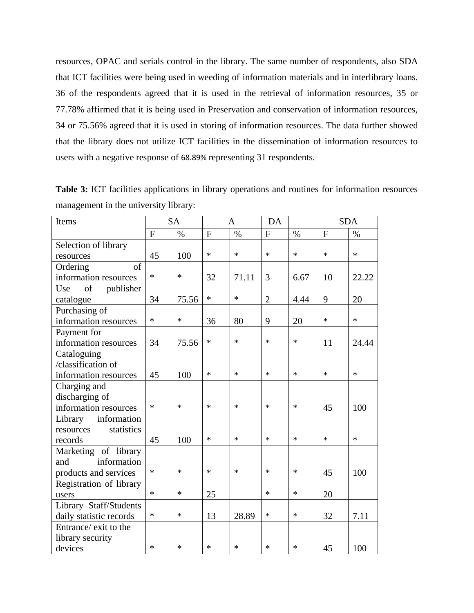resources, OPAC and serials control in the library. The same number of respondents, also SDA that ICT facilities were being used in weeding of information materials and in interlibrary loans. 36 of the respondents agreed that it is used in the retrieval of information resources, 35 or 77.78% affirmed that it is being used in Preservation and conservation of information resources, 34 or 75.56% agreed that it is used in storing of information resources. The data further showed that the library does not utilize ICT facilities in the dissemination of information resources to users with a negative response of 68.89% representing 31 respondents.

**Table 3:** ICT facilities applications in library operations and routines for information resources management in the university library:

| Items                   |              | <b>SA</b> |                | A      | DA             |        | <b>SDA</b>     |        |
|-------------------------|--------------|-----------|----------------|--------|----------------|--------|----------------|--------|
|                         | $\mathbf{F}$ | $\%$      | $\overline{F}$ | $\%$   | $\mathbf F$    | $\%$   | $\overline{F}$ | $\%$   |
| Selection of library    |              |           |                |        |                |        |                |        |
| resources               | 45           | 100       | *              | $\ast$ | $\ast$         | $\ast$ | $\ast$         | $\ast$ |
| of<br>Ordering          |              |           |                |        |                |        |                |        |
| information resources   | $\ast$       | $\ast$    | 32             | 71.11  | 3              | 6.67   | 10             | 22.22  |
| Use<br>of<br>publisher  |              |           |                |        |                |        |                |        |
| catalogue               | 34           | 75.56     | *              | $\ast$ | $\overline{2}$ | 4.44   | 9              | 20     |
| Purchasing of           |              |           |                |        |                |        |                |        |
| information resources   | $\ast$       | $\ast$    | 36             | 80     | 9              | 20     | $\ast$         | $\ast$ |
| Payment for             |              |           |                |        |                |        |                |        |
| information resources   | 34           | 75.56     | *              | $\ast$ | *              | $\ast$ | 11             | 24.44  |
| Cataloguing             |              |           |                |        |                |        |                |        |
| /classification of      |              |           |                |        |                |        |                |        |
| information resources   | 45           | 100       | $\ast$         | $\ast$ | $\ast$         | $\ast$ | $\ast$         | $\ast$ |
| Charging and            |              |           |                |        |                |        |                |        |
| discharging of          |              |           |                |        |                |        |                |        |
| information resources   | $\ast$       | $\ast$    | *              | $\ast$ | *              | $\ast$ | 45             | 100    |
| information<br>Library  |              |           |                |        |                |        |                |        |
| statistics<br>resources |              |           |                |        |                |        |                |        |
| records                 | 45           | 100       | *              | $\ast$ | *              | $\ast$ | $\ast$         | $\ast$ |
| Marketing of library    |              |           |                |        |                |        |                |        |
| information<br>and      |              |           |                |        |                |        |                |        |
| products and services   | $\ast$       | $\ast$    | $\ast$         | $\ast$ | $\ast$         | $\ast$ | 45             | 100    |
| Registration of library |              |           |                |        |                |        |                |        |
| users                   | $\ast$       | $\ast$    | 25             |        | *              | $\ast$ | 20             |        |
| Library Staff/Students  |              |           |                |        |                |        |                |        |
| daily statistic records | $\ast$       | $\ast$    | 13             | 28.89  | *              | $\ast$ | 32             | 7.11   |
| Entrance/ exit to the   |              |           |                |        |                |        |                |        |
| library security        |              |           |                |        |                |        |                |        |
| devices                 | $\ast$       | $\ast$    | $\ast$         | *      | *              | $\ast$ | 45             | 100    |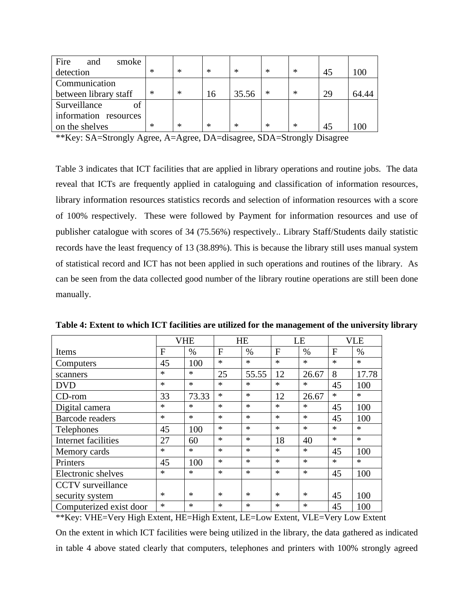| Fire<br>smoke<br>and  |        |        |                          |        |                           |                 |    |       |
|-----------------------|--------|--------|--------------------------|--------|---------------------------|-----------------|----|-------|
| detection             | $\ast$ | $\ast$ | ∗                        | $\ast$ | $\ast$                    | $\ast$          | 45 | 100   |
| Communication         |        |        |                          |        |                           |                 |    |       |
| between library staff | $\ast$ | $\ast$ | 16                       | 35.56  | $\ast$                    | $\ast$          | 29 | 64.44 |
| Surveillance          |        |        |                          |        |                           |                 |    |       |
| information resources |        |        |                          |        |                           |                 |    |       |
| on the shelves        | $\ast$ | $\ast$ | ∗                        | $\ast$ | $\ast$                    | $\ast$          | 45 | 100   |
| $\mathcal{L}$         |        |        | $\cdot$<br>$\sim$ $\sim$ |        | $\alpha$ $\alpha$ $\beta$ | $\cdot$ $\cdot$ |    |       |

\*\*Key: SA=Strongly Agree, A=Agree, DA=disagree, SDA=Strongly Disagree

Table 3 indicates that ICT facilities that are applied in library operations and routine jobs. The data reveal that ICTs are frequently applied in cataloguing and classification of information resources, library information resources statistics records and selection of information resources with a score of 100% respectively. These were followed by Payment for information resources and use of publisher catalogue with scores of 34 (75.56%) respectively.. Library Staff/Students daily statistic records have the least frequency of 13 (38.89%). This is because the library still uses manual system of statistical record and ICT has not been applied in such operations and routines of the library. As can be seen from the data collected good number of the library routine operations are still been done manually.

|                          |        | <b>VHE</b> |        | <b>HE</b> |        | LE     |             | <b>VLE</b> |
|--------------------------|--------|------------|--------|-----------|--------|--------|-------------|------------|
| Items                    | F      | $\%$       | F      | $\%$      | F      | $\%$   | $\mathbf F$ | $\%$       |
| Computers                | 45     | 100        | $\ast$ | $\ast$    | $\ast$ | $\ast$ | $\ast$      | $\ast$     |
| scanners                 | $\ast$ | $\ast$     | 25     | 55.55     | 12     | 26.67  | 8           | 17.78      |
| <b>DVD</b>               | $\ast$ | $\ast$     | $\ast$ | $\ast$    | $\ast$ | $\ast$ | 45          | 100        |
| $CD$ -rom                | 33     | 73.33      | $\ast$ | $\ast$    | 12     | 26.67  | $\ast$      | $\ast$     |
| Digital camera           | $\ast$ | $\ast$     | $\ast$ | $\ast$    | $\ast$ | $\ast$ | 45          | 100        |
| <b>Barcode readers</b>   | $\ast$ | $\ast$     | $\ast$ | $\ast$    | $\ast$ | *      | 45          | 100        |
| Telephones               | 45     | 100        | $\ast$ | $\ast$    | $\ast$ | $\ast$ | $\ast$      | $\ast$     |
| Internet facilities      | 27     | 60         | $\ast$ | $\ast$    | 18     | 40     | $\ast$      | $\ast$     |
| Memory cards             | $\ast$ | $\ast$     | $\ast$ | $\ast$    | $\ast$ | $\ast$ | 45          | 100        |
| Printers                 | 45     | 100        | $\ast$ | $\ast$    | $\ast$ | $\ast$ | $\ast$      | $\ast$     |
| Electronic shelves       | $\ast$ | $\ast$     | $\ast$ | $\ast$    | $\ast$ | $\ast$ | 45          | 100        |
| <b>CCTV</b> surveillance |        |            |        |           |        |        |             |            |
| security system          | $\ast$ | $\ast$     | $\ast$ | $\ast$    | $\ast$ | $\ast$ | 45          | 100        |
| Computerized exist door  | $\ast$ | $\ast$     | $\ast$ | $\ast$    | $\ast$ | $\ast$ | 45          | 100        |

**Table 4: Extent to which ICT facilities are utilized for the management of the university library** 

\*\*Key: VHE=Very High Extent, HE=High Extent, LE=Low Extent, VLE=Very Low Extent

On the extent in which ICT facilities were being utilized in the library, the data gathered as indicated in table 4 above stated clearly that computers, telephones and printers with 100% strongly agreed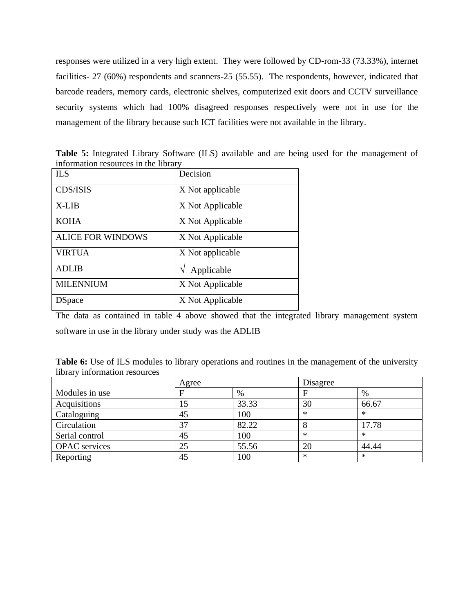responses were utilized in a very high extent. They were followed by CD-rom-33 (73.33%), internet facilities- 27 (60%) respondents and scanners-25 (55.55). The respondents, however, indicated that barcode readers, memory cards, electronic shelves, computerized exit doors and CCTV surveillance security systems which had 100% disagreed responses respectively were not in use for the management of the library because such ICT facilities were not available in the library.

| <b>ILS</b>               | Decision         |
|--------------------------|------------------|
| CDS/ISIS                 | X Not applicable |
| $X-IJB$                  | X Not Applicable |
| <b>KOHA</b>              | X Not Applicable |
| <b>ALICE FOR WINDOWS</b> | X Not Applicable |
| <b>VIRTUA</b>            | X Not applicable |
| <b>ADLIB</b>             | Applicable       |
| <b>MILENNIUM</b>         | X Not Applicable |
| <b>D</b> Space           | X Not Applicable |

**Table 5:** Integrated Library Software (ILS) available and are being used for the management of information resources in the library

The data as contained in table 4 above showed that the integrated library management system software in use in the library under study was the ADLIB

Table 6: Use of ILS modules to library operations and routines in the management of the university library information resources

|                      | Agree |       | Disagree |           |
|----------------------|-------|-------|----------|-----------|
| Modules in use       |       | %     |          | %         |
| Acquisitions         |       | 33.33 | 30       | 66.67     |
| Cataloguing          | 45    | 100   | ∗        | $^{\ast}$ |
| Circulation          | 37    | 82.22 |          | 17.78     |
| Serial control       | 45    | 100   | $\ast$   | $\ast$    |
| <b>OPAC</b> services | 25    | 55.56 | 20       | 44.44     |
| Reporting            | 45    | 100   | $\ast$   | $\ast$    |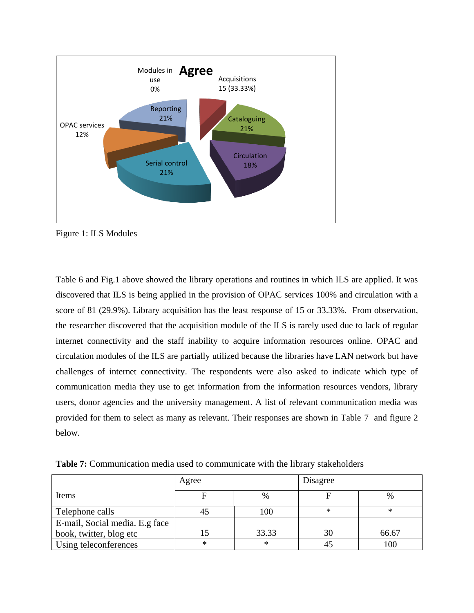

Figure 1: ILS Modules

Table 6 and Fig.1 above showed the library operations and routines in which ILS are applied. It was discovered that ILS is being applied in the provision of OPAC services 100% and circulation with a score of 81 (29.9%). Library acquisition has the least response of 15 or 33.33%. From observation, the researcher discovered that the acquisition module of the ILS is rarely used due to lack of regular internet connectivity and the staff inability to acquire information resources online. OPAC and circulation modules of the ILS are partially utilized because the libraries have LAN network but have challenges of internet connectivity. The respondents were also asked to indicate which type of communication media they use to get information from the information resources vendors, library users, donor agencies and the university management. A list of relevant communication media was provided for them to select as many as relevant. Their responses are shown in Table 7 and figure 2 below.

**Table 7:** Communication media used to communicate with the library stakeholders

|                                | Agree     |        | Disagree |        |
|--------------------------------|-----------|--------|----------|--------|
| Items                          |           | %      |          | $\%$   |
| Telephone calls                |           | 100    | $\ast$   | $\ast$ |
| E-mail, Social media. E.g face |           |        |          |        |
| book, twitter, blog etc        |           | 33.33  | 30       | 66.67  |
| Using teleconferences          | $^{\ast}$ | $\ast$ |          | 100    |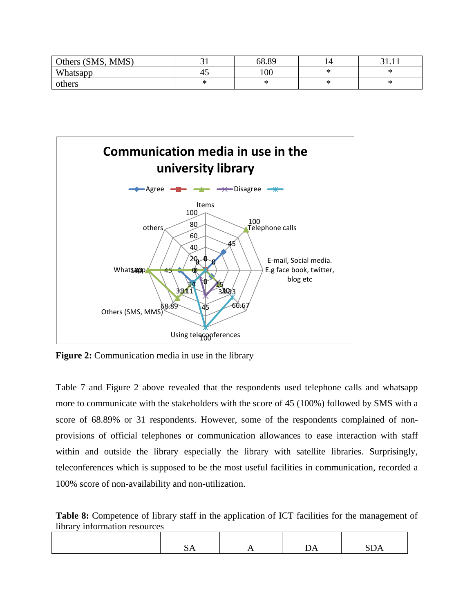| Others (SMS, MMS) |    | 68.89 | 14 |   |
|-------------------|----|-------|----|---|
| Whatsapp          | 4. | 100   |    |   |
| others            |    |       |    | ᅎ |



**Figure 2:** Communication media in use in the library

Table 7 and Figure 2 above revealed that the respondents used telephone calls and whatsapp more to communicate with the stakeholders with the score of 45 (100%) followed by SMS with a score of 68.89% or 31 respondents. However, some of the respondents complained of nonprovisions of official telephones or communication allowances to ease interaction with staff within and outside the library especially the library with satellite libraries. Surprisingly, teleconferences which is supposed to be the most useful facilities in communication, recorded a 100% score of non-availability and non-utilization.

Table 8: Competence of library staff in the application of ICT facilities for the management of library information resources

|--|--|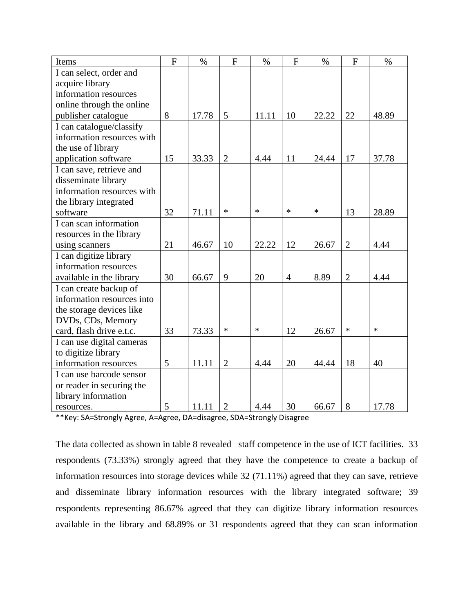| Items                      | $\mathbf{F}$ | $\%$  | $\overline{F}$ | $\%$   | $\mathbf{F}$   | $\%$   | F              | $\%$   |
|----------------------------|--------------|-------|----------------|--------|----------------|--------|----------------|--------|
| I can select, order and    |              |       |                |        |                |        |                |        |
| acquire library            |              |       |                |        |                |        |                |        |
| information resources      |              |       |                |        |                |        |                |        |
| online through the online  |              |       |                |        |                |        |                |        |
| publisher catalogue        | 8            | 17.78 | 5              | 11.11  | 10             | 22.22  | 22             | 48.89  |
| I can catalogue/classify   |              |       |                |        |                |        |                |        |
| information resources with |              |       |                |        |                |        |                |        |
| the use of library         |              |       |                |        |                |        |                |        |
| application software       | 15           | 33.33 | $\overline{2}$ | 4.44   | 11             | 24.44  | 17             | 37.78  |
| I can save, retrieve and   |              |       |                |        |                |        |                |        |
| disseminate library        |              |       |                |        |                |        |                |        |
| information resources with |              |       |                |        |                |        |                |        |
| the library integrated     |              |       |                |        |                |        |                |        |
| software                   | 32           | 71.11 | $\ast$         | $\ast$ | $\ast$         | $\ast$ | 13             | 28.89  |
| I can scan information     |              |       |                |        |                |        |                |        |
| resources in the library   |              |       |                |        |                |        |                |        |
| using scanners             | 21           | 46.67 | 10             | 22.22  | 12             | 26.67  | $\overline{2}$ | 4.44   |
| I can digitize library     |              |       |                |        |                |        |                |        |
| information resources      |              |       |                |        |                |        |                |        |
| available in the library   | 30           | 66.67 | 9              | 20     | $\overline{4}$ | 8.89   | $\overline{2}$ | 4.44   |
| I can create backup of     |              |       |                |        |                |        |                |        |
| information resources into |              |       |                |        |                |        |                |        |
| the storage devices like   |              |       |                |        |                |        |                |        |
| DVDs, CDs, Memory          |              |       |                |        |                |        |                |        |
| card, flash drive e.t.c.   | 33           | 73.33 | $\ast$         | $\ast$ | 12             | 26.67  | $\ast$         | $\ast$ |
| I can use digital cameras  |              |       |                |        |                |        |                |        |
| to digitize library        |              |       |                |        |                |        |                |        |
| information resources      | 5            | 11.11 | $\overline{2}$ | 4.44   | 20             | 44.44  | 18             | 40     |
| I can use barcode sensor   |              |       |                |        |                |        |                |        |
| or reader in securing the  |              |       |                |        |                |        |                |        |
| library information        |              |       |                |        |                |        |                |        |
| resources.                 | 5            | 11.11 | $\overline{2}$ | 4.44   | 30             | 66.67  | 8              | 17.78  |

\*\*Key: SA=Strongly Agree, A=Agree, DA=disagree, SDA=Strongly Disagree

The data collected as shown in table 8 revealed staff competence in the use of ICT facilities. 33 respondents (73.33%) strongly agreed that they have the competence to create a backup of information resources into storage devices while 32 (71.11%) agreed that they can save, retrieve and disseminate library information resources with the library integrated software; 39 respondents representing 86.67% agreed that they can digitize library information resources available in the library and 68.89% or 31 respondents agreed that they can scan information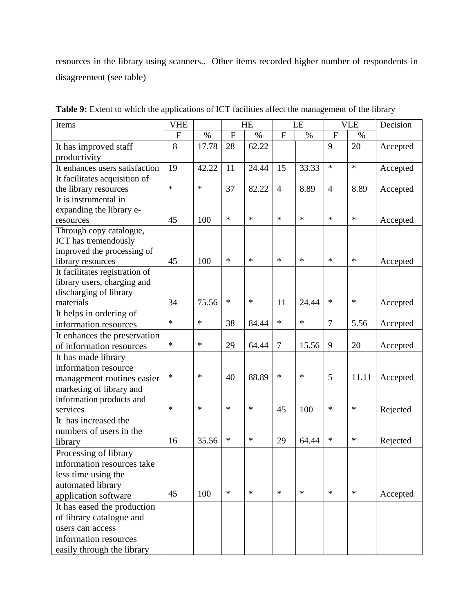resources in the library using scanners.. Other items recorded higher number of respondents in disagreement (see table)

| Items                          | <b>VHE</b><br>HE |        | LE             |        | <b>VLE</b>     |        | Decision       |        |          |
|--------------------------------|------------------|--------|----------------|--------|----------------|--------|----------------|--------|----------|
|                                | F                | $\%$   | $\overline{F}$ | $\%$   | $\overline{F}$ | $\%$   | $\overline{F}$ | $\%$   |          |
| It has improved staff          | 8                | 17.78  | 28             | 62.22  |                |        | 9              | 20     | Accepted |
| productivity                   |                  |        |                |        |                |        |                |        |          |
| It enhances users satisfaction | 19               | 42.22  | 11             | 24.44  | 15             | 33.33  | $\ast$         | $\ast$ | Accepted |
| It facilitates acquisition of  |                  |        |                |        |                |        |                |        |          |
| the library resources          | $\ast$           | $\ast$ | 37             | 82.22  | $\overline{4}$ | 8.89   | $\overline{4}$ | 8.89   | Accepted |
| It is instrumental in          |                  |        |                |        |                |        |                |        |          |
| expanding the library e-       |                  |        |                |        |                |        |                |        |          |
| resources                      | 45               | 100    | $\ast$         | $\ast$ | $\ast$         | $\ast$ | $\ast$         | $\ast$ | Accepted |
| Through copy catalogue,        |                  |        |                |        |                |        |                |        |          |
| ICT has tremendously           |                  |        |                |        |                |        |                |        |          |
| improved the processing of     |                  |        |                |        |                |        |                |        |          |
| library resources              | 45               | 100    | $\ast$         | $\ast$ | $\ast$         | $\ast$ | $\ast$         | $\ast$ | Accepted |
| It facilitates registration of |                  |        |                |        |                |        |                |        |          |
| library users, charging and    |                  |        |                |        |                |        |                |        |          |
| discharging of library         |                  |        |                |        |                |        |                |        |          |
| materials                      | 34               | 75.56  | $\ast$         | $\ast$ | 11             | 24.44  | $\ast$         | $\ast$ | Accepted |
| It helps in ordering of        |                  |        |                |        |                |        |                |        |          |
| information resources          | $\ast$           | $\ast$ | 38             | 84.44  | $\ast$         | $\ast$ | 7              | 5.56   | Accepted |
| It enhances the preservation   |                  |        |                |        |                |        |                |        |          |
| of information resources       | $\ast$           | $\ast$ | 29             | 64.44  | $\tau$         | 15.56  | 9              | 20     | Accepted |
| It has made library            |                  |        |                |        |                |        |                |        |          |
| information resource           |                  |        |                |        |                |        |                |        |          |
| management routines easier     | $\ast$           | $\ast$ | 40             | 88.89  | $\ast$         | $\ast$ | 5              | 11.11  | Accepted |
| marketing of library and       |                  |        |                |        |                |        |                |        |          |
| information products and       |                  |        |                |        |                |        |                |        |          |
| services                       | $\ast$           | $\ast$ | $\ast$         | $\ast$ | 45             | 100    | $\ast$         | $\ast$ | Rejected |
| It has increased the           |                  |        |                |        |                |        |                |        |          |
| numbers of users in the        |                  |        |                |        |                |        |                |        |          |
| library                        | 16               | 35.56  | $\ast$         | $\ast$ | 29             | 64.44  | $\ast$         | $\ast$ | Rejected |
| Processing of library          |                  |        |                |        |                |        |                |        |          |
| information resources take     |                  |        |                |        |                |        |                |        |          |
| less time using the            |                  |        |                |        |                |        |                |        |          |
| automated library              |                  |        |                |        |                |        |                |        |          |
| application software           | 45               | 100    | $\ast$         | $\ast$ | $\ast$         | $\ast$ | $\ast$         | $\ast$ | Accepted |
| It has eased the production    |                  |        |                |        |                |        |                |        |          |
| of library catalogue and       |                  |        |                |        |                |        |                |        |          |
| users can access               |                  |        |                |        |                |        |                |        |          |
| information resources          |                  |        |                |        |                |        |                |        |          |
| easily through the library     |                  |        |                |        |                |        |                |        |          |

Table 9: Extent to which the applications of ICT facilities affect the management of the library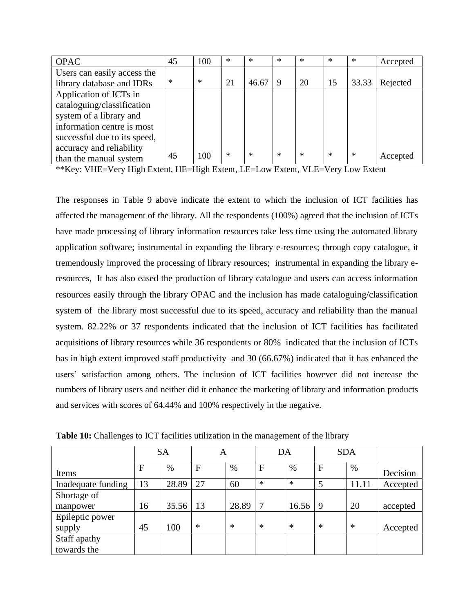| <b>OPAC</b>                  | 45     | 100    | $\ast$ | $\ast$ | $\ast$ | $\ast$ | $\ast$ | $\ast$ | Accepted |
|------------------------------|--------|--------|--------|--------|--------|--------|--------|--------|----------|
| Users can easily access the  |        |        |        |        |        |        |        |        |          |
| library database and IDRs    | $\ast$ | $\ast$ | 21     | 46.67  | 9      | 20     | 15     | 33.33  | Rejected |
| Application of ICTs in       |        |        |        |        |        |        |        |        |          |
| cataloguing/classification   |        |        |        |        |        |        |        |        |          |
| system of a library and      |        |        |        |        |        |        |        |        |          |
| information centre is most   |        |        |        |        |        |        |        |        |          |
| successful due to its speed, |        |        |        |        |        |        |        |        |          |
| accuracy and reliability     |        |        |        |        |        |        |        |        |          |
| than the manual system       | 45     | 100    | $\ast$ | $\ast$ | $\ast$ | $\ast$ | $\ast$ | $\ast$ | Accepted |

\*\*Key: VHE=Very High Extent, HE=High Extent, LE=Low Extent, VLE=Very Low Extent

The responses in Table 9 above indicate the extent to which the inclusion of ICT facilities has affected the management of the library. All the respondents (100%) agreed that the inclusion of ICTs have made processing of library information resources take less time using the automated library application software; instrumental in expanding the library e-resources; through copy catalogue, it tremendously improved the processing of library resources; instrumental in expanding the library eresources, It has also eased the production of library catalogue and users can access information resources easily through the library OPAC and the inclusion has made cataloguing/classification system of the library most successful due to its speed, accuracy and reliability than the manual system. 82.22% or 37 respondents indicated that the inclusion of ICT facilities has facilitated acquisitions of library resources while 36 respondents or 80% indicated that the inclusion of ICTs has in high extent improved staff productivity and 30 (66.67%) indicated that it has enhanced the users' satisfaction among others. The inclusion of ICT facilities however did not increase the numbers of library users and neither did it enhance the marketing of library and information products and services with scores of 64.44% and 100% respectively in the negative.

|                    |             | <b>SA</b> | А      |        | DA     |        |              | <b>SDA</b> |          |
|--------------------|-------------|-----------|--------|--------|--------|--------|--------------|------------|----------|
| Items              | $\mathbf F$ | $\%$      | F      | $\%$   | F      | $\%$   | $\mathbf{F}$ | %          | Decision |
| Inadequate funding | 13          | 28.89     | 27     | 60     | $\ast$ | $\ast$ | 5            | 11.11      | Accepted |
| Shortage of        |             |           |        |        |        |        |              |            |          |
| manpower           | 16          | 35.56     | 13     | 28.89  | 7      | 16.56  | -9           | 20         | accepted |
| Epileptic power    |             |           |        |        |        |        |              |            |          |
| supply             | 45          | 100       | $\ast$ | $\ast$ | $\ast$ | $\ast$ | $\ast$       | $\ast$     | Accepted |
| Staff apathy       |             |           |        |        |        |        |              |            |          |
| towards the        |             |           |        |        |        |        |              |            |          |

**Table 10:** Challenges to ICT facilities utilization in the management of the library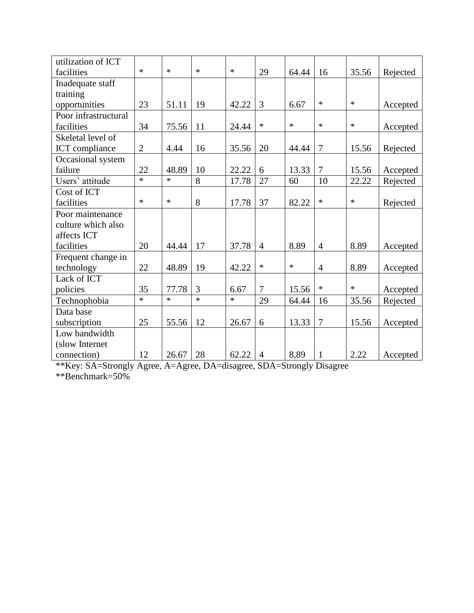| utilization of ICT   |              |        |        |        |                |        |                |        |          |
|----------------------|--------------|--------|--------|--------|----------------|--------|----------------|--------|----------|
| facilities           | $\ast$       | $\ast$ | $\ast$ | $\ast$ | 29             | 64.44  | 16             | 35.56  | Rejected |
| Inadequate staff     |              |        |        |        |                |        |                |        |          |
| training             |              |        |        |        |                |        |                |        |          |
| opportunities        | 23           | 51.11  | 19     | 42.22  | 3              | 6.67   | $\ast$         | $\ast$ | Accepted |
| Poor infrastructural |              |        |        |        |                |        |                |        |          |
| facilities           | 34           | 75.56  | 11     | 24.44  | $\ast$         | $\ast$ | $\ast$         | ∗      | Accepted |
| Skeletal level of    |              |        |        |        |                |        |                |        |          |
| ICT compliance       | $\mathbf{2}$ | 4.44   | 16     | 35.56  | 20             | 44.44  | 7              | 15.56  | Rejected |
| Occasional system    |              |        |        |        |                |        |                |        |          |
| failure              | 22           | 48.89  | 10     | 22.22  | 6              | 13.33  | $\overline{7}$ | 15.56  | Accepted |
| Users' attitude      | $\ast$       | $\ast$ | 8      | 17.78  | 27             | 60     | 10             | 22.22  | Rejected |
| Cost of ICT          |              |        |        |        |                |        |                |        |          |
| facilities           | $\ast$       | $\ast$ | 8      | 17.78  | 37             | 82.22  | $\ast$         | $\ast$ | Rejected |
| Poor maintenance     |              |        |        |        |                |        |                |        |          |
| culture which also   |              |        |        |        |                |        |                |        |          |
| affects ICT          |              |        |        |        |                |        |                |        |          |
| facilities           | 20           | 44.44  | 17     | 37.78  | $\overline{4}$ | 8.89   | $\overline{4}$ | 8.89   | Accepted |
| Frequent change in   |              |        |        |        |                |        |                |        |          |
| technology           | 22           | 48.89  | 19     | 42.22  | $\ast$         | $\ast$ | $\overline{4}$ | 8.89   | Accepted |
| Lack of ICT          |              |        |        |        |                |        |                |        |          |
| policies             | 35           | 77.78  | 3      | 6.67   | 7              | 15.56  | $\ast$         | $\ast$ | Accepted |
| Technophobia         | $\ast$       | $\ast$ | $\ast$ | $\ast$ | 29             | 64.44  | 16             | 35.56  | Rejected |
| Data base            |              |        |        |        |                |        |                |        |          |
| subscription         | 25           | 55.56  | 12     | 26.67  | 6              | 13.33  | 7              | 15.56  | Accepted |
| Low bandwidth        |              |        |        |        |                |        |                |        |          |
| (slow Internet       |              |        |        |        |                |        |                |        |          |
| connection)          | 12           | 26.67  | 28     | 62.22  | $\overline{4}$ | 8,89   | $\mathbf{1}$   | 2.22   | Accepted |

\*\*Key: SA=Strongly Agree, A=Agree, DA=disagree, SDA=Strongly Disagree

\*\*Benchmark=50%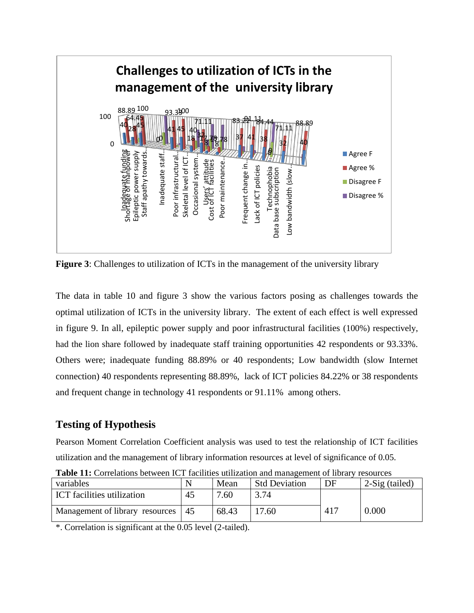

**Figure 3**: Challenges to utilization of ICTs in the management of the university library

The data in table 10 and figure 3 show the various factors posing as challenges towards the optimal utilization of ICTs in the university library. The extent of each effect is well expressed in figure 9. In all, epileptic power supply and poor infrastructural facilities (100%) respectively, had the lion share followed by inadequate staff training opportunities 42 respondents or 93.33%. Others were; inadequate funding 88.89% or 40 respondents; Low bandwidth (slow Internet connection) 40 respondents representing 88.89%, lack of ICT policies 84.22% or 38 respondents and frequent change in technology 41 respondents or 91.11% among others.

# **Testing of Hypothesis**

Pearson Moment Correlation Coefficient analysis was used to test the relationship of ICT facilities utilization and the management of library information resources at level of significance of 0.05.

| variables                         |    | Mean  | <b>Std Deviation</b> | DF  | 2-Sig (tailed) |
|-----------------------------------|----|-------|----------------------|-----|----------------|
| <b>ICT</b> facilities utilization | 45 | 7.60  | 3.74                 |     |                |
| Management of library resources   | 45 | 68.43 | 7.60                 | 417 | 0.000          |

**Table 11:** Correlations between ICT facilities utilization and management of library resources

\*. Correlation is significant at the 0.05 level (2-tailed).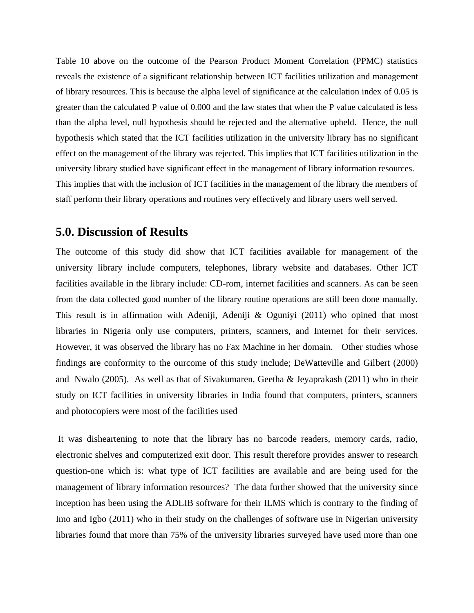Table 10 above on the outcome of the Pearson Product Moment Correlation (PPMC) statistics reveals the existence of a significant relationship between ICT facilities utilization and management of library resources. This is because the alpha level of significance at the calculation index of 0.05 is greater than the calculated P value of 0.000 and the law states that when the P value calculated is less than the alpha level, null hypothesis should be rejected and the alternative upheld. Hence, the null hypothesis which stated that the ICT facilities utilization in the university library has no significant effect on the management of the library was rejected. This implies that ICT facilities utilization in the university library studied have significant effect in the management of library information resources. This implies that with the inclusion of ICT facilities in the management of the library the members of staff perform their library operations and routines very effectively and library users well served.

# **5.0. Discussion of Results**

The outcome of this study did show that ICT facilities available for management of the university library include computers, telephones, library website and databases. Other ICT facilities available in the library include: CD-rom, internet facilities and scanners. As can be seen from the data collected good number of the library routine operations are still been done manually. This result is in affirmation with Adeniji, Adeniji & Oguniyi (2011) who opined that most libraries in Nigeria only use computers, printers, scanners, and Internet for their services. However, it was observed the library has no Fax Machine in her domain. Other studies whose findings are conformity to the ourcome of this study include; DeWatteville and Gilbert (2000) and Nwalo (2005). As well as that of Sivakumaren, Geetha & Jeyaprakash (2011) who in their study on ICT facilities in university libraries in India found that computers, printers, scanners and photocopiers were most of the facilities used

It was disheartening to note that the library has no barcode readers, memory cards, radio, electronic shelves and computerized exit door. This result therefore provides answer to research question-one which is: what type of ICT facilities are available and are being used for the management of library information resources? The data further showed that the university since inception has been using the ADLIB software for their ILMS which is contrary to the finding of Imo and Igbo (2011) who in their study on the challenges of software use in Nigerian university libraries found that more than 75% of the university libraries surveyed have used more than one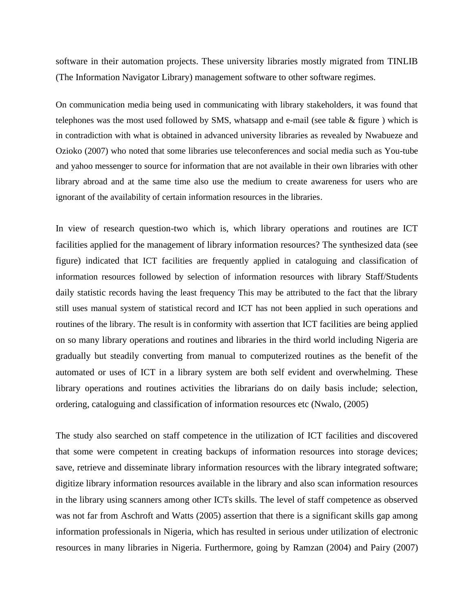software in their automation projects. These university libraries mostly migrated from TINLIB (The Information Navigator Library) management software to other software regimes.

On communication media being used in communicating with library stakeholders, it was found that telephones was the most used followed by SMS, whatsapp and e-mail (see table  $\&$  figure ) which is in contradiction with what is obtained in advanced university libraries as revealed by Nwabueze and Ozioko (2007) who noted that some libraries use teleconferences and social media such as You-tube and yahoo messenger to source for information that are not available in their own libraries with other library abroad and at the same time also use the medium to create awareness for users who are ignorant of the availability of certain information resources in the libraries.

In view of research question-two which is, which library operations and routines are ICT facilities applied for the management of library information resources? The synthesized data (see figure) indicated that ICT facilities are frequently applied in cataloguing and classification of information resources followed by selection of information resources with library Staff/Students daily statistic records having the least frequency This may be attributed to the fact that the library still uses manual system of statistical record and ICT has not been applied in such operations and routines of the library. The result is in conformity with assertion that ICT facilities are being applied on so many library operations and routines and libraries in the third world including Nigeria are gradually but steadily converting from manual to computerized routines as the benefit of the automated or uses of ICT in a library system are both self evident and overwhelming. These library operations and routines activities the librarians do on daily basis include; selection, ordering, cataloguing and classification of information resources etc (Nwalo, (2005)

The study also searched on staff competence in the utilization of ICT facilities and discovered that some were competent in creating backups of information resources into storage devices; save, retrieve and disseminate library information resources with the library integrated software; digitize library information resources available in the library and also scan information resources in the library using scanners among other ICTs skills. The level of staff competence as observed was not far from Aschroft and Watts (2005) assertion that there is a significant skills gap among information professionals in Nigeria, which has resulted in serious under utilization of electronic resources in many libraries in Nigeria. Furthermore, going by Ramzan (2004) and Pairy (2007)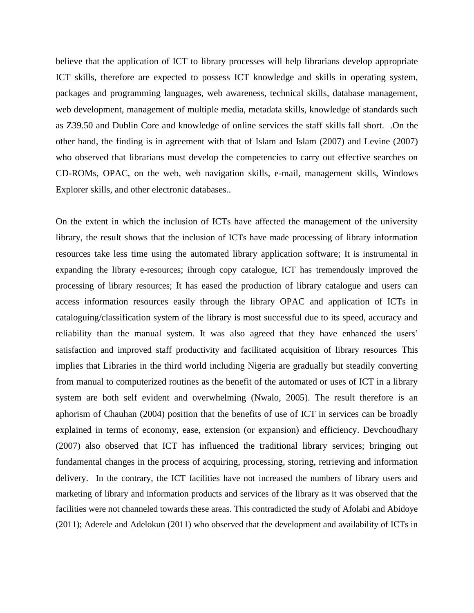believe that the application of ICT to library processes will help librarians develop appropriate ICT skills, therefore are expected to possess ICT knowledge and skills in operating system, packages and programming languages, web awareness, technical skills, database management, web development, management of multiple media, metadata skills, knowledge of standards such as Z39.50 and Dublin Core and knowledge of online services the staff skills fall short. .On the other hand, the finding is in agreement with that of Islam and Islam (2007) and Levine (2007) who observed that librarians must develop the competencies to carry out effective searches on CD-ROMs, OPAC, on the web, web navigation skills, e-mail, management skills, Windows Explorer skills, and other electronic databases..

On the extent in which the inclusion of ICTs have affected the management of the university library, the result shows that the inclusion of ICTs have made processing of library information resources take less time using the automated library application software; It is instrumental in expanding the library e-resources; ihrough copy catalogue, ICT has tremendously improved the processing of library resources; It has eased the production of library catalogue and users can access information resources easily through the library OPAC and application of ICTs in cataloguing/classification system of the library is most successful due to its speed, accuracy and reliability than the manual system. It was also agreed that they have enhanced the users' satisfaction and improved staff productivity and facilitated acquisition of library resources This implies that Libraries in the third world including Nigeria are gradually but steadily converting from manual to computerized routines as the benefit of the automated or uses of ICT in a library system are both self evident and overwhelming (Nwalo, 2005). The result therefore is an aphorism of Chauhan (2004) position that the benefits of use of ICT in services can be broadly explained in terms of economy, ease, extension (or expansion) and efficiency. Devchoudhary (2007) also observed that ICT has influenced the traditional library services; bringing out fundamental changes in the process of acquiring, processing, storing, retrieving and information delivery. In the contrary, the ICT facilities have not increased the numbers of library users and marketing of library and information products and services of the library as it was observed that the facilities were not channeled towards these areas. This contradicted the study of Afolabi and Abidoye (2011); Aderele and Adelokun (2011) who observed that the development and availability of ICTs in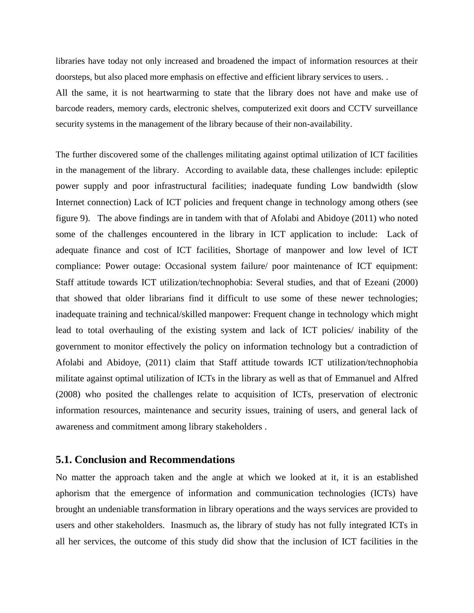libraries have today not only increased and broadened the impact of information resources at their doorsteps, but also placed more emphasis on effective and efficient library services to users. .

All the same, it is not heartwarming to state that the library does not have and make use of barcode readers, memory cards, electronic shelves, computerized exit doors and CCTV surveillance security systems in the management of the library because of their non-availability.

The further discovered some of the challenges militating against optimal utilization of ICT facilities in the management of the library. According to available data, these challenges include: epileptic power supply and poor infrastructural facilities; inadequate funding Low bandwidth (slow Internet connection) Lack of ICT policies and frequent change in technology among others (see figure 9). The above findings are in tandem with that of Afolabi and Abidoye (2011) who noted some of the challenges encountered in the library in ICT application to include: Lack of adequate finance and cost of ICT facilities, Shortage of manpower and low level of ICT compliance: Power outage: Occasional system failure/ poor maintenance of ICT equipment: Staff attitude towards ICT utilization/technophobia: Several studies, and that of Ezeani (2000) that showed that older librarians find it difficult to use some of these newer technologies; inadequate training and technical/skilled manpower: Frequent change in technology which might lead to total overhauling of the existing system and lack of ICT policies/ inability of the government to monitor effectively the policy on information technology but a contradiction of Afolabi and Abidoye, (2011) claim that Staff attitude towards ICT utilization/technophobia militate against optimal utilization of ICTs in the library as well as that of Emmanuel and Alfred (2008) who posited the challenges relate to acquisition of ICTs, preservation of electronic information resources, maintenance and security issues, training of users, and general lack of awareness and commitment among library stakeholders .

#### **5.1. Conclusion and Recommendations**

No matter the approach taken and the angle at which we looked at it, it is an established aphorism that the emergence of information and communication technologies (ICTs) have brought an undeniable transformation in library operations and the ways services are provided to users and other stakeholders. Inasmuch as, the library of study has not fully integrated ICTs in all her services, the outcome of this study did show that the inclusion of ICT facilities in the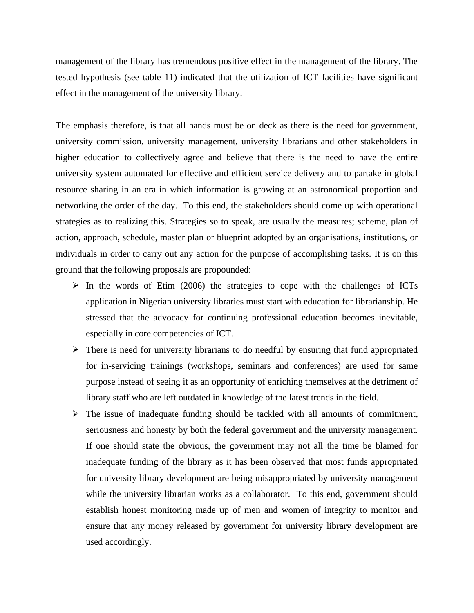management of the library has tremendous positive effect in the management of the library. The tested hypothesis (see table 11) indicated that the utilization of ICT facilities have significant effect in the management of the university library.

The emphasis therefore, is that all hands must be on deck as there is the need for government, university commission, university management, university librarians and other stakeholders in higher education to collectively agree and believe that there is the need to have the entire university system automated for effective and efficient service delivery and to partake in global resource sharing in an era in which information is growing at an astronomical proportion and networking the order of the day. To this end, the stakeholders should come up with operational strategies as to realizing this. Strategies so to speak, are usually the measures; scheme, plan of action, approach, schedule, master plan or blueprint adopted by an organisations, institutions, or individuals in order to carry out any action for the purpose of accomplishing tasks. It is on this ground that the following proposals are propounded:

- ➢ In the words of Etim (2006) the strategies to cope with the challenges of ICTs application in Nigerian university libraries must start with education for librarianship. He stressed that the advocacy for continuing professional education becomes inevitable, especially in core competencies of ICT.
- ➢ There is need for university librarians to do needful by ensuring that fund appropriated for in-servicing trainings (workshops, seminars and conferences) are used for same purpose instead of seeing it as an opportunity of enriching themselves at the detriment of library staff who are left outdated in knowledge of the latest trends in the field.
- ➢ The issue of inadequate funding should be tackled with all amounts of commitment, seriousness and honesty by both the federal government and the university management. If one should state the obvious, the government may not all the time be blamed for inadequate funding of the library as it has been observed that most funds appropriated for university library development are being misappropriated by university management while the university librarian works as a collaborator. To this end, government should establish honest monitoring made up of men and women of integrity to monitor and ensure that any money released by government for university library development are used accordingly.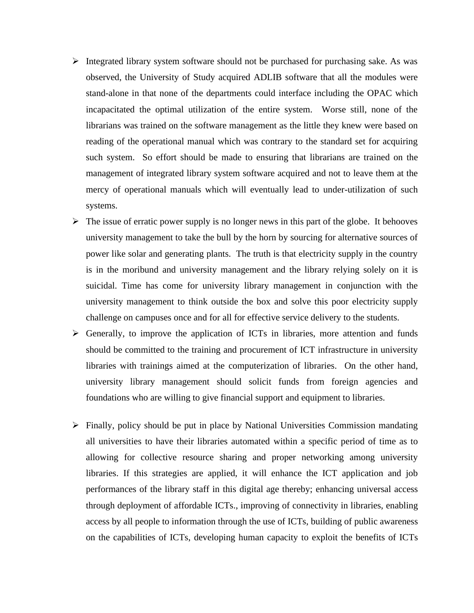- $\triangleright$  Integrated library system software should not be purchased for purchasing sake. As was observed, the University of Study acquired ADLIB software that all the modules were stand-alone in that none of the departments could interface including the OPAC which incapacitated the optimal utilization of the entire system. Worse still, none of the librarians was trained on the software management as the little they knew were based on reading of the operational manual which was contrary to the standard set for acquiring such system. So effort should be made to ensuring that librarians are trained on the management of integrated library system software acquired and not to leave them at the mercy of operational manuals which will eventually lead to under-utilization of such systems.
- $\triangleright$  The issue of erratic power supply is no longer news in this part of the globe. It behooves university management to take the bull by the horn by sourcing for alternative sources of power like solar and generating plants. The truth is that electricity supply in the country is in the moribund and university management and the library relying solely on it is suicidal. Time has come for university library management in conjunction with the university management to think outside the box and solve this poor electricity supply challenge on campuses once and for all for effective service delivery to the students.
- $\triangleright$  Generally, to improve the application of ICTs in libraries, more attention and funds should be committed to the training and procurement of ICT infrastructure in university libraries with trainings aimed at the computerization of libraries. On the other hand, university library management should solicit funds from foreign agencies and foundations who are willing to give financial support and equipment to libraries.
- ➢ Finally, policy should be put in place by National Universities Commission mandating all universities to have their libraries automated within a specific period of time as to allowing for collective resource sharing and proper networking among university libraries. If this strategies are applied, it will enhance the ICT application and job performances of the library staff in this digital age thereby; enhancing universal access through deployment of affordable ICTs., improving of connectivity in libraries, enabling access by all people to information through the use of ICTs, building of public awareness on the capabilities of ICTs, developing human capacity to exploit the benefits of ICTs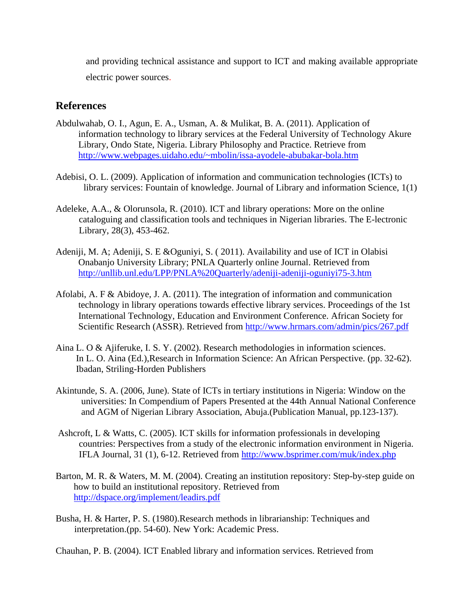and providing technical assistance and support to ICT and making available appropriate electric power sources.

# **References**

- Abdulwahab, O. I., Agun, E. A., Usman, A. & Mulikat, B. A. (2011). Application of information technology to library services at the Federal University of Technology Akure Library, Ondo State, Nigeria. Library Philosophy and Practice. Retrieve from <http://www.webpages.uidaho.edu/~mbolin/issa-ayodele-abubakar-bola.htm>
- Adebisi, O. L. (2009). Application of information and communication technologies (ICTs) to library services: Fountain of knowledge. Journal of Library and information Science, 1(1)
- Adeleke, A.A., & Olorunsola, R. (2010). ICT and library operations: More on the online cataloguing and classification tools and techniques in Nigerian libraries. The E-lectronic Library, 28(3), 453-462.
- Adeniji, M. A; Adeniji, S. E &Oguniyi, S. ( 2011). Availability and use of ICT in Olabisi Onabanjo University Library; PNLA Quarterly online Journal. Retrieved from <http://unllib.unl.edu/LPP/PNLA%20Quarterly/adeniji-adeniji-oguniyi75-3.htm>
- Afolabi, A. F & Abidoye, J. A. (2011). The integration of information and communication technology in library operations towards effective library services. Proceedings of the 1st International Technology, Education and Environment Conference. African Society for Scientific Research (ASSR). Retrieved from <http://www.hrmars.com/admin/pics/267.pdf>
- Aina L. O & Ajiferuke, I. S. Y. (2002). Research methodologies in information sciences. In L. O. Aina (Ed.),Research in Information Science: An African Perspective. (pp. 32-62). Ibadan, Striling-Horden Publishers
- Akintunde, S. A. (2006, June). State of ICTs in tertiary institutions in Nigeria: Window on the universities: In Compendium of Papers Presented at the 44th Annual National Conference and AGM of Nigerian Library Association, Abuja.(Publication Manual, pp.123-137).
- Ashcroft, L & Watts, C. (2005). ICT skills for information professionals in developing countries: Perspectives from a study of the electronic information environment in Nigeria. IFLA Journal, 31 (1), 6-12. Retrieved from<http://www.bsprimer.com/muk/index.php>
- Barton, M. R. & Waters, M. M. (2004). Creating an institution repository: Step-by-step guide on how to build an institutional repository. Retrieved from [http://dspace.org/implement/leadirs.pdf](http://dspace.org/implement/leadirs.pdf%20on%2012/06/2010)
- Busha, H. & Harter, P. S. (1980).Research methods in librarianship: Techniques and interpretation.(pp. 54-60). New York: Academic Press.

Chauhan, P. B. (2004). ICT Enabled library and information services. Retrieved from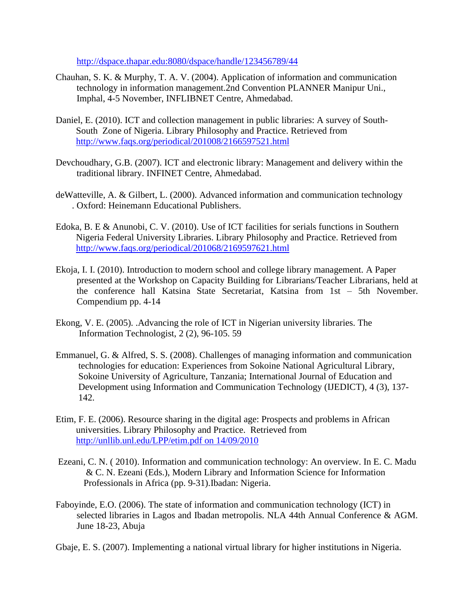<http://dspace.thapar.edu:8080/dspace/handle/123456789/44>

- Chauhan, S. K. & Murphy, T. A. V. (2004). Application of information and communication technology in information management.2nd Convention PLANNER Manipur Uni., Imphal, 4-5 November, INFLIBNET Centre, Ahmedabad.
- Daniel, E. (2010). ICT and collection management in public libraries: A survey of South-South Zone of Nigeria. Library Philosophy and Practice. Retrieved from <http://www.faqs.org/periodical/201008/2166597521.html>
- Devchoudhary, G.B. (2007). ICT and electronic library: Management and delivery within the traditional library. INFINET Centre, Ahmedabad.
- deWatteville, A. & Gilbert, L. (2000). Advanced information and communication technology . Oxford: Heinemann Educational Publishers.
- Edoka, B. E & Anunobi, C. V. (2010). Use of ICT facilities for serials functions in Southern Nigeria Federal University Libraries. Library Philosophy and Practice. Retrieved from <http://www.faqs.org/periodical/201068/2169597621.html>
- Ekoja, I. I. (2010). Introduction to modern school and college library management. A Paper presented at the Workshop on Capacity Building for Librarians/Teacher Librarians, held at the conference hall Katsina State Secretariat, Katsina from 1st – 5th November. Compendium pp. 4-14
- Ekong, V. E. (2005). .Advancing the role of ICT in Nigerian university libraries. The Information Technologist, 2 (2), 96-105. 59
- Emmanuel, G. & Alfred, S. S. (2008). Challenges of managing information and communication technologies for education: Experiences from Sokoine National Agricultural Library, Sokoine University of Agriculture, Tanzania; International Journal of Education and Development using Information and Communication Technology (IJEDICT), 4 (3), 137- 142.
- Etim, F. E. (2006). Resource sharing in the digital age: Prospects and problems in African universities. Library Philosophy and Practice. Retrieved from [http://unllib.unl.edu/LPP/etim.pdf on 14/09/2010](http://unllib.unl.edu/LPP/etim.pdf%20on%2014/09/2010)
- Ezeani, C. N. ( 2010). Information and communication technology: An overview. In E. C. Madu & C. N. Ezeani (Eds.), Modern Library and Information Science for Information Professionals in Africa (pp. 9-31).Ibadan: Nigeria.
- Faboyinde, E.O. (2006). The state of information and communication technology (ICT) in selected libraries in Lagos and Ibadan metropolis. NLA 44th Annual Conference & AGM. June 18-23, Abuja

Gbaje, E. S. (2007). Implementing a national virtual library for higher institutions in Nigeria.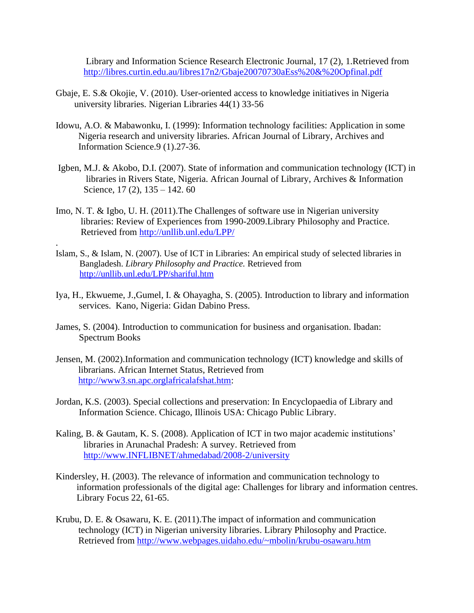Library and Information Science Research Electronic Journal, 17 (2), 1.Retrieved from <http://libres.curtin.edu.au/libres17n2/Gbaje20070730aEss%20&%20Opfinal.pdf>

- Gbaje, E. S.& Okojie, V. (2010). User-oriented access to knowledge initiatives in Nigeria university libraries. Nigerian Libraries 44(1) 33-56
- Idowu, A.O. & Mabawonku, I. (1999): Information technology facilities: Application in some Nigeria research and university libraries. African Journal of Library, Archives and Information Science.9 (1).27-36.
- Igben, M.J. & Akobo, D.I. (2007). State of information and communication technology (ICT) in libraries in Rivers State, Nigeria. African Journal of Library, Archives & Information Science, 17 (2), 135 – 142. 60
- Imo, N. T. & Igbo, U. H. (2011).The Challenges of software use in Nigerian university libraries: Review of Experiences from 1990-2009.Library Philosophy and Practice. Retrieved from<http://unllib.unl.edu/LPP/>

.

- Islam, S., & Islam, N. (2007). Use of ICT in Libraries: An empirical study of selected libraries in Bangladesh. *Library Philosophy and Practice.* Retrieved from <http://unllib.unl.edu/LPP/shariful.htm>
- Iya, H., Ekwueme, J.,Gumel, I. & Ohayagha, S. (2005). Introduction to library and information services. Kano, Nigeria: Gidan Dabino Press.
- James, S. (2004). Introduction to communication for business and organisation. Ibadan: Spectrum Books
- Jensen, M. (2002).Information and communication technology (ICT) knowledge and skills of librarians. African Internet Status, Retrieved from [http://www3.sn.apc.orglafricalafshat.htm:](http://www3.sn.apc.orglafricalafshat.htm/)
- Jordan, K.S. (2003). Special collections and preservation: In Encyclopaedia of Library and Information Science. Chicago, Illinois USA: Chicago Public Library.
- Kaling, B. & Gautam, K. S. (2008). Application of ICT in two major academic institutions' libraries in Arunachal Pradesh: A survey. Retrieved from [http://www.INFLIBNET/ahmedabad/2008-2/university](http://www.inflibnet/ahmedabad/2008-2/university)
- Kindersley, H. (2003). The relevance of information and communication technology to information professionals of the digital age: Challenges for library and information centres. Library Focus 22, 61-65.
- Krubu, D. E. & Osawaru, K. E. (2011).The impact of information and communication technology (ICT) in Nigerian university libraries. Library Philosophy and Practice. Retrieved from [http://www.webpages.uidaho.edu/~mbolin/krubu-osawaru.htm](http://www.webpages.uidaho.edu/~mbolin/krubu-osawaru.htm%20on%2020/10/2011)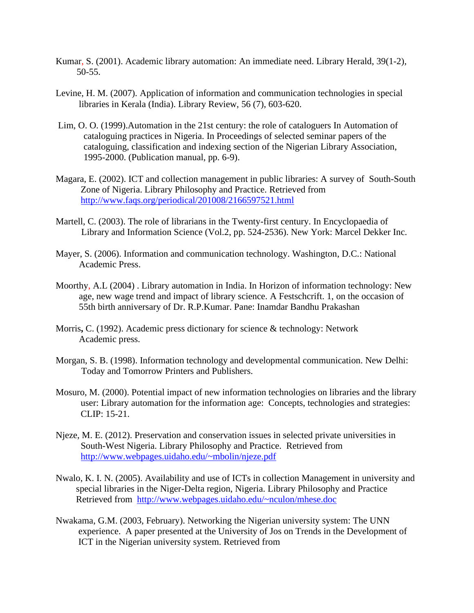- Kumar, S. (2001). Academic library automation: An immediate need. Library Herald, 39(1-2), 50-55.
- Levine, H. M. (2007). Application of information and communication technologies in special libraries in Kerala (India). Library Review, 56 (7), 603-620.
- Lim, O. O. (1999).Automation in the 21st century: the role of cataloguers In Automation of cataloguing practices in Nigeria. In Proceedings of selected seminar papers of the cataloguing, classification and indexing section of the Nigerian Library Association, 1995-2000. (Publication manual, pp. 6-9).
- Magara, E. (2002). ICT and collection management in public libraries: A survey of South-South Zone of Nigeria. Library Philosophy and Practice. Retrieved from <http://www.faqs.org/periodical/201008/2166597521.html>
- Martell, C. (2003). The role of librarians in the Twenty-first century. In Encyclopaedia of Library and Information Science (Vol.2, pp. 524-2536). New York: Marcel Dekker Inc.
- Mayer, S. (2006). Information and communication technology. Washington, D.C.: National Academic Press.
- Moorthy, A.L (2004) . Library automation in India. In Horizon of information technology: New age, new wage trend and impact of library science. A Festschcrift. 1, on the occasion of 55th birth anniversary of Dr. R.P.Kumar. Pane: Inamdar Bandhu Prakashan
- Morris**,** C. (1992). Academic press dictionary for science & technology: Network Academic press.
- Morgan, S. B. (1998). Information technology and developmental communication. New Delhi: Today and Tomorrow Printers and Publishers.
- Mosuro, M. (2000). Potential impact of new information technologies on libraries and the library user: Library automation for the information age: Concepts, technologies and strategies: CLIP: 15-21.
- Njeze, M. E. (2012). Preservation and conservation issues in selected private universities in South-West Nigeria. Library Philosophy and Practice. Retrieved from <http://www.webpages.uidaho.edu/~mbolin/njeze.pdf>
- Nwalo, K. I. N. (2005). Availability and use of ICTs in collection Management in university and special libraries in the Niger-Delta region, Nigeria. Library Philosophy and Practice Retrieved from <http://www.webpages.uidaho.edu/~nculon/mhese.doc>
- Nwakama, G.M. (2003, February). Networking the Nigerian university system: The UNN experience. A paper presented at the University of Jos on Trends in the Development of ICT in the Nigerian university system. Retrieved from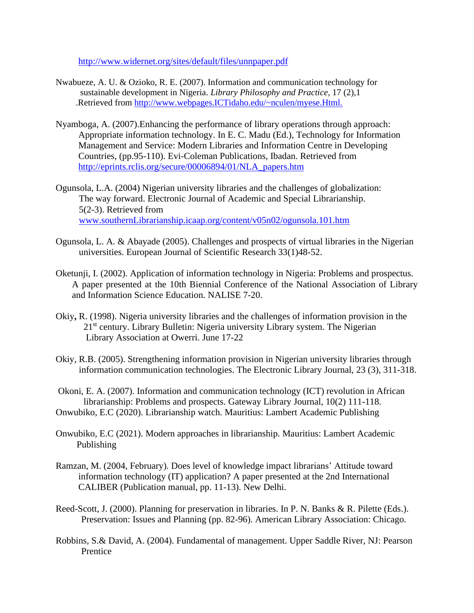[http://www.widernet.org/sites/default/files/unnpaper.pdf](http://www.widernet.org/sites/default/files/unnpaper.pdf%20on%2034/06/2010) 

- Nwabueze, A. U. & Ozioko, R. E. (2007). Information and communication technology for sustainable development in Nigeria. *Library Philosophy and Practice,* 17 (2),1 .Retrieved from [http://www.webpages.ICTidaho.edu/~nculen/myese.Html.](http://www.webpages.ictidaho.edu/~nculen/myese.Html.on%2002/03/2012)
- Nyamboga, A. (2007).Enhancing the performance of library operations through approach: Appropriate information technology. In E. C. Madu (Ed.), Technology for Information Management and Service: Modern Libraries and Information Centre in Developing Countries, (pp.95-110). Evi-Coleman Publications, Ibadan. Retrieved from [http://eprints.rclis.org/secure/00006894/01/NLA\\_papers.htm](http://eprints.rclis.org/secure/00006894/01/NLA_papers.htm)
- Ogunsola, L.A. (2004) Nigerian university libraries and the challenges of globalization: The way forward. Electronic Journal of Academic and Special Librarianship. 5(2-3). Retrieved from [www.southernLibrarianship.icaap.org/content/v05n02/ogunsola.101.htm](http://www.southernlibrarianship.icaap.org/content/v05n02/ogunsola.101.htm)
- Ogunsola, L. A. & Abayade (2005). Challenges and prospects of virtual libraries in the Nigerian universities. European Journal of Scientific Research 33(1)48-52.
- Oketunji, I. (2002). Application of information technology in Nigeria: Problems and prospectus. A paper presented at the 10th Biennial Conference of the National Association of Library and Information Science Education. NALISE 7-20.
- Okiy**,** R. (1998). Nigeria university libraries and the challenges of information provision in the 21<sup>st</sup> century. Library Bulletin: Nigeria university Library system. The Nigerian Library Association at Owerri. June 17-22
- Okiy, R.B. (2005). Strengthening information provision in Nigerian university libraries through information communication technologies. The Electronic Library Journal, 23 (3), 311-318.

Okoni, E. A. (2007). Information and communication technology (ICT) revolution in African librarianship: Problems and prospects. Gateway Library Journal, 10(2) 111-118. Onwubiko, E.C (2020). Librarianship watch. Mauritius: Lambert Academic Publishing

- Onwubiko, E.C (2021). Modern approaches in librarianship. Mauritius: Lambert Academic Publishing
- Ramzan, M. (2004, February). Does level of knowledge impact librarians' Attitude toward information technology (IT) application? A paper presented at the 2nd International CALIBER (Publication manual, pp. 11-13). New Delhi.
- Reed-Scott, J. (2000). Planning for preservation in libraries. In P. N. Banks & R. Pilette (Eds.). Preservation: Issues and Planning (pp. 82-96). American Library Association: Chicago.
- Robbins, S.& David, A. (2004). Fundamental of management. Upper Saddle River, NJ: Pearson Prentice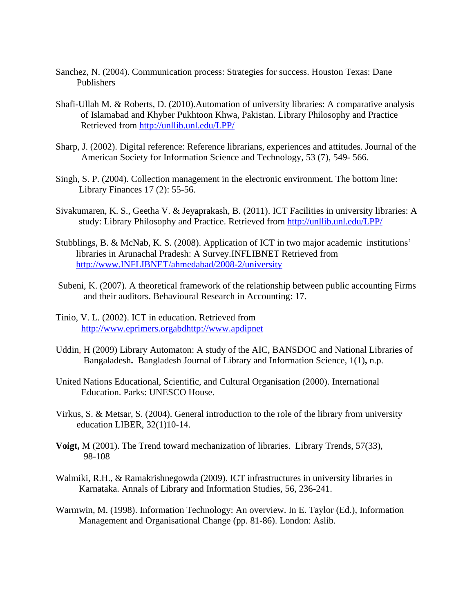- Sanchez, N. (2004). Communication process: Strategies for success. Houston Texas: Dane Publishers
- Shafi-Ullah M. & Roberts, D. (2010).Automation of university libraries: A comparative analysis of Islamabad and Khyber Pukhtoon Khwa, Pakistan. Library Philosophy and Practice Retrieved from<http://unllib.unl.edu/LPP/>
- Sharp, J. (2002). Digital reference: Reference librarians, experiences and attitudes. Journal of the American Society for Information Science and Technology, 53 (7), 549- 566.
- Singh, S. P. (2004). Collection management in the electronic environment. The bottom line: Library Finances 17 (2): 55-56.
- Sivakumaren, K. S., Geetha V. & Jeyaprakash, B. (2011). ICT Facilities in university libraries: A study: Library Philosophy and Practice. Retrieved from<http://unllib.unl.edu/LPP/>
- Stubblings, B. & McNab, K. S. (2008). Application of ICT in two major academic institutions' libraries in Arunachal Pradesh: A Survey.INFLIBNET Retrieved from [http://www.INFLIBNET/ahmedabad/2008-2/university](http://www.inflibnet/ahmedabad/2008-2/university)
- Subeni, K. (2007). A theoretical framework of the relationship between public accounting Firms and their auditors. Behavioural Research in Accounting: 17.
- Tinio, V. L. (2002). ICT in education. Retrieved from [http://www.eprimers.orgabdhttp://www.apdipnet](http://www.eprimers.orgabdhttp/www.apdipnet)
- Uddin, H (2009) Library Automaton: A study of the AIC, BANSDOC and National Libraries of Bangaladesh**.** Bangladesh Journal of Library and Information Science, 1(1)**,** n.p.
- United Nations Educational, Scientific, and Cultural Organisation (2000). International Education. Parks: UNESCO House.
- Virkus, S. & Metsar, S. (2004). General introduction to the role of the library from university education LIBER, 32(1)10-14.
- **Voigt,** M (2001). The Trend toward mechanization of libraries. Library Trends, 57(33), 98-108
- Walmiki, R.H., & Ramakrishnegowda (2009). ICT infrastructures in university libraries in Karnataka. Annals of Library and Information Studies, 56, 236-241.
- Warmwin, M. (1998). Information Technology: An overview. In E. Taylor (Ed.), Information Management and Organisational Change (pp. 81-86). London: Aslib.